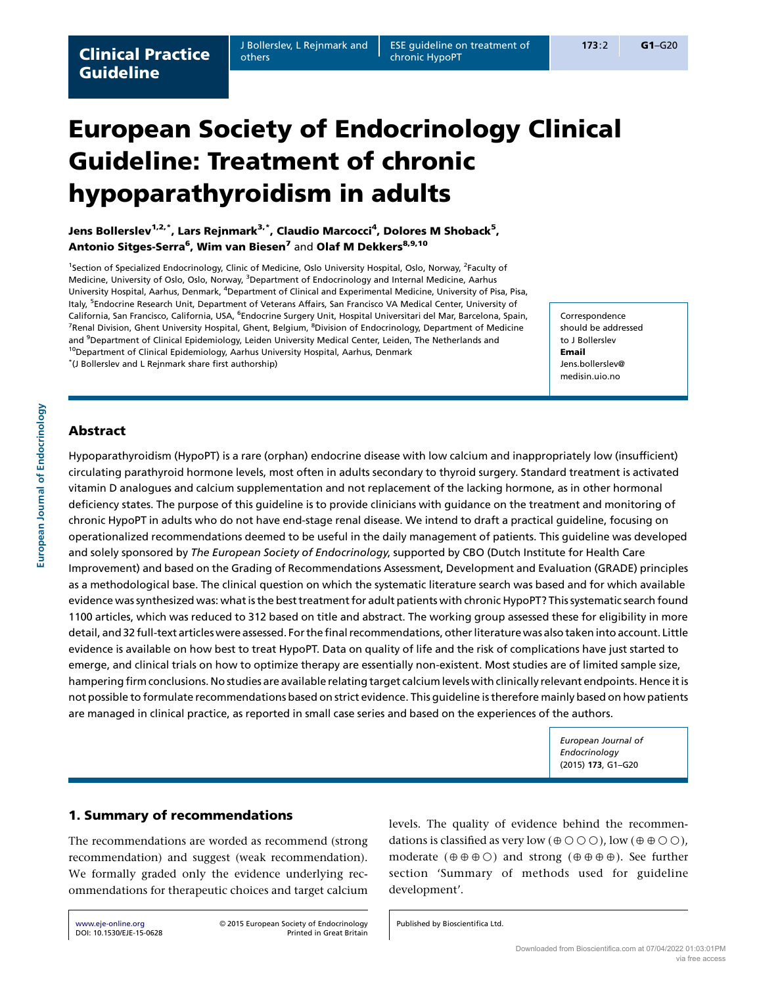Jens Bollerslev<sup>1,2,\*</sup>, Lars Rejnmark<sup>3,\*</sup>, Claudio Marcocci<sup>4</sup>, Dolores M Shoback<sup>5</sup>, **Antonio Sitges-Serra** $^6$ **, Wim van Biesen** $^7$  and <code>Olaf</code> M Dekkers $^{8,9,10}$ 

J Bollerslev, L Rejnmark and

others

<sup>1</sup>Section of Specialized Endocrinology, Clinic of Medicine, Oslo University Hospital, Oslo, Norway, <sup>2</sup>Faculty of Medicine, University of Oslo, Oslo, Norway, <sup>3</sup>Department of Endocrinology and Internal Medicine, Aarhus University Hospital, Aarhus, Denmark, <sup>4</sup>Department of Clinical and Experimental Medicine, University of Pisa, Pisa, Italy, <sup>5</sup>Endocrine Research Unit, Department of Veterans Affairs, San Francisco VA Medical Center, University of California, San Francisco, California, USA, <sup>6</sup>Endocrine Surgery Unit, Hospital Universitari del Mar, Barcelona, Spain, <sup>7</sup>Renal Division, Ghent University Hospital, Ghent, Belgium, <sup>8</sup>Division of Endocrinology, Department of Medicine and <sup>9</sup>Department of Clinical Epidemiology, Leiden University Medical Center, Leiden, The Netherlands and <sup>10</sup>Department of Clinical Epidemiology, Aarhus University Hospital, Aarhus, Denmark \* (J Bollerslev and L Rejnmark share first authorship)

Correspondence should be addressed to J Bollerslev Email Jens.bollerslev@ medisin.uio.no

# Abstract

European Journal of Endocrinology

European Journal of Endocrinology

Hypoparathyroidism (HypoPT) is a rare (orphan) endocrine disease with low calcium and inappropriately low (insufficient) circulating parathyroid hormone levels, most often in adults secondary to thyroid surgery. Standard treatment is activated vitamin D analogues and calcium supplementation and not replacement of the lacking hormone, as in other hormonal deficiency states. The purpose of this guideline is to provide clinicians with guidance on the treatment and monitoring of chronic HypoPT in adults who do not have end-stage renal disease. We intend to draft a practical guideline, focusing on operationalized recommendations deemed to be useful in the daily management of patients. This guideline was developed and solely sponsored by The European Society of Endocrinology, supported by CBO (Dutch Institute for Health Care Improvement) and based on the Grading of Recommendations Assessment, Development and Evaluation (GRADE) principles as a methodological base. The clinical question on which the systematic literature search was based and for which available evidence was synthesized was: what is the best treatment for adult patients with chronic HypoPT? This systematic search found 1100 articles, which was reduced to 312 based on title and abstract. The working group assessed these for eligibility in more detail, and 32 full-text articles were assessed. For the final recommendations, other literature was also taken into account. Little evidence is available on how best to treat HypoPT. Data on quality of life and the risk of complications have just started to emerge, and clinical trials on how to optimize therapy are essentially non-existent. Most studies are of limited sample size, hampering firm conclusions. No studies are available relating target calcium levels with clinically relevant endpoints. Hence it is not possible to formulate recommendations based on strict evidence. This guideline is therefore mainly based on how patients are managed in clinical practice, as reported in small case series and based on the experiences of the authors.

> European Journal of **Endocrinology** (2015) 173, G1–G20

#### 1. Summary of recommendations

The recommendations are worded as recommend (strong recommendation) and suggest (weak recommendation). We formally graded only the evidence underlying recommendations for therapeutic choices and target calcium levels. The quality of evidence behind the recommendations is classified as very low ( $\oplus \bigcirc \bigcirc$ ), low ( $\oplus \oplus \bigcirc \bigcirc$ ), moderate  $(\oplus \oplus \oplus \odot)$  and strong  $(\oplus \oplus \oplus \oplus)$ . See further section 'Summary of methods used for guideline development'.

ESE guideline on treatment of

chronic HypoPT

Published by Bioscientifica Ltd.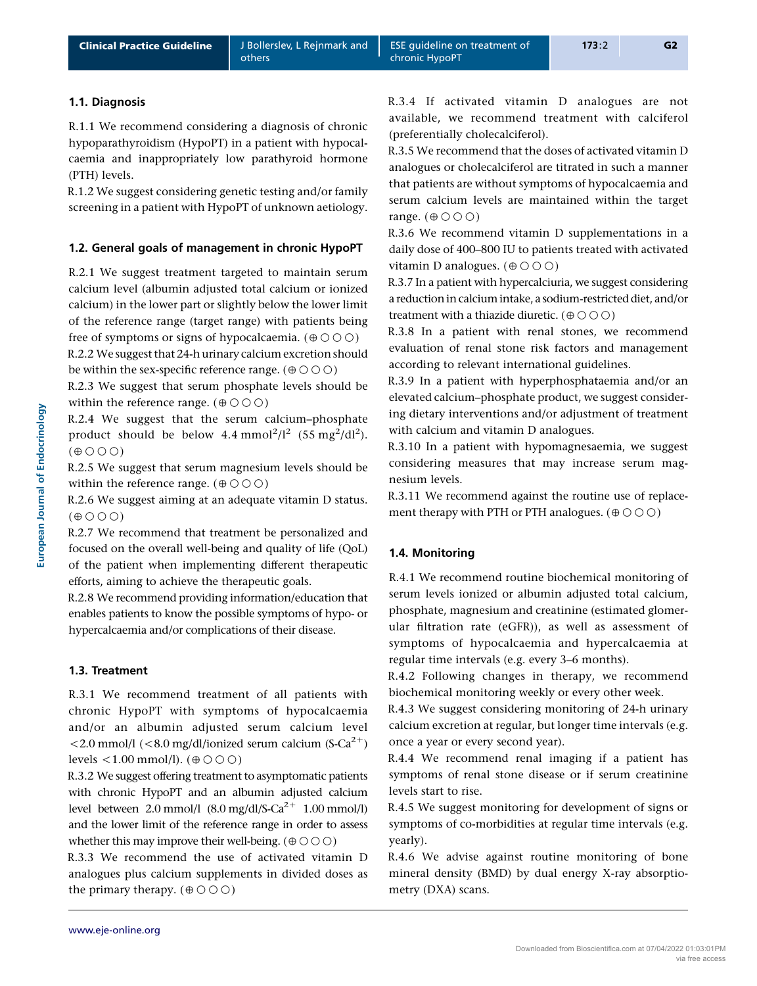# 1.1. Diagnosis

R.1.1 We recommend considering a diagnosis of chronic hypoparathyroidism (HypoPT) in a patient with hypocalcaemia and inappropriately low parathyroid hormone (PTH) levels.

R.1.2 We suggest considering genetic testing and/or family screening in a patient with HypoPT of unknown aetiology.

# 1.2. General goals of management in chronic HypoPT

R.2.1 We suggest treatment targeted to maintain serum calcium level (albumin adjusted total calcium or ionized calcium) in the lower part or slightly below the lower limit of the reference range (target range) with patients being free of symptoms or signs of hypocalcaemia.  $(\oplus \bigcirc \bigcirc \bigcirc)$ 

R.2.2 We suggest that 24-h urinary calcium excretion should be within the sex-specific reference range.  $(\oplus \bigcirc \bigcirc \bigcirc)$ 

R.2.3 We suggest that serum phosphate levels should be within the reference range.  $(\oplus \bigcirc \bigcirc \bigcirc)$ 

R.2.4 We suggest that the serum calcium–phosphate product should be below  $4.4 \text{ mmol}^2/l^2$  (55 mg<sup>2</sup>/dl<sup>2</sup>).  $(\oplus \bigcirc \bigcirc \bigcirc)$ 

R.2.5 We suggest that serum magnesium levels should be within the reference range.  $(\oplus \bigcirc \bigcirc \bigcirc)$ 

R.2.6 We suggest aiming at an adequate vitamin D status.  $(\oplus \bigcirc \bigcirc \bigcirc)$ 

R.2.7 We recommend that treatment be personalized and focused on the overall well-being and quality of life (QoL) of the patient when implementing different therapeutic efforts, aiming to achieve the therapeutic goals.

R.2.8 We recommend providing information/education that enables patients to know the possible symptoms of hypo- or hypercalcaemia and/or complications of their disease.

## 1.3. Treatment

R.3.1 We recommend treatment of all patients with chronic HypoPT with symptoms of hypocalcaemia and/or an albumin adjusted serum calcium level  $\langle 2.0 \text{ mmol/l } (\langle 8.0 \text{ mg/dl/ionized serum calcium } (S\text{-}Ca^{2+})$ levels  $<1.00$  mmol/l). ( $\oplus \odot \odot \odot$ )

R.3.2 We suggest offering treatment to asymptomatic patients with chronic HypoPT and an albumin adjusted calcium level between 2.0 mmol/l  $(8.0 \text{ mg/dl/S-Ca}^{2+} 1.00 \text{ mmol/l})$ and the lower limit of the reference range in order to assess whether this may improve their well-being. ( $\oplus \bigcirc \bigcirc$ )

R.3.3 We recommend the use of activated vitamin D analogues plus calcium supplements in divided doses as the primary therapy.  $(\oplus \bigcirc \bigcirc \bigcirc)$ 

R.3.4 If activated vitamin D analogues are not available, we recommend treatment with calciferol (preferentially cholecalciferol).

R.3.5 We recommend that the doses of activated vitamin D analogues or cholecalciferol are titrated in such a manner that patients are without symptoms of hypocalcaemia and serum calcium levels are maintained within the target range.  $(\oplus \bigcirc \bigcirc \bigcirc)$ 

R.3.6 We recommend vitamin D supplementations in a daily dose of 400–800 IU to patients treated with activated vitamin D analogues.  $(\oplus \bigcirc \bigcirc \bigcirc)$ 

R.3.7 In a patient with hypercalciuria, we suggest considering a reduction in calcium intake, a sodium-restricted diet, and/or treatment with a thiazide diuretic.  $(\oplus \bigcirc \bigcirc \bigcirc)$ 

R.3.8 In a patient with renal stones, we recommend evaluation of renal stone risk factors and management according to relevant international guidelines.

R.3.9 In a patient with hyperphosphataemia and/or an elevated calcium–phosphate product, we suggest considering dietary interventions and/or adjustment of treatment with calcium and vitamin D analogues.

R.3.10 In a patient with hypomagnesaemia, we suggest considering measures that may increase serum magnesium levels.

R.3.11 We recommend against the routine use of replacement therapy with PTH or PTH analogues.  $(\oplus \bigcirc \bigcirc \bigcirc)$ 

#### 1.4. Monitoring

R.4.1 We recommend routine biochemical monitoring of serum levels ionized or albumin adjusted total calcium, phosphate, magnesium and creatinine (estimated glomerular filtration rate (eGFR)), as well as assessment of symptoms of hypocalcaemia and hypercalcaemia at regular time intervals (e.g. every 3–6 months).

R.4.2 Following changes in therapy, we recommend biochemical monitoring weekly or every other week.

R.4.3 We suggest considering monitoring of 24-h urinary calcium excretion at regular, but longer time intervals (e.g. once a year or every second year).

R.4.4 We recommend renal imaging if a patient has symptoms of renal stone disease or if serum creatinine levels start to rise.

R.4.5 We suggest monitoring for development of signs or symptoms of co-morbidities at regular time intervals (e.g. yearly).

R.4.6 We advise against routine monitoring of bone mineral density (BMD) by dual energy X-ray absorptiometry (DXA) scans.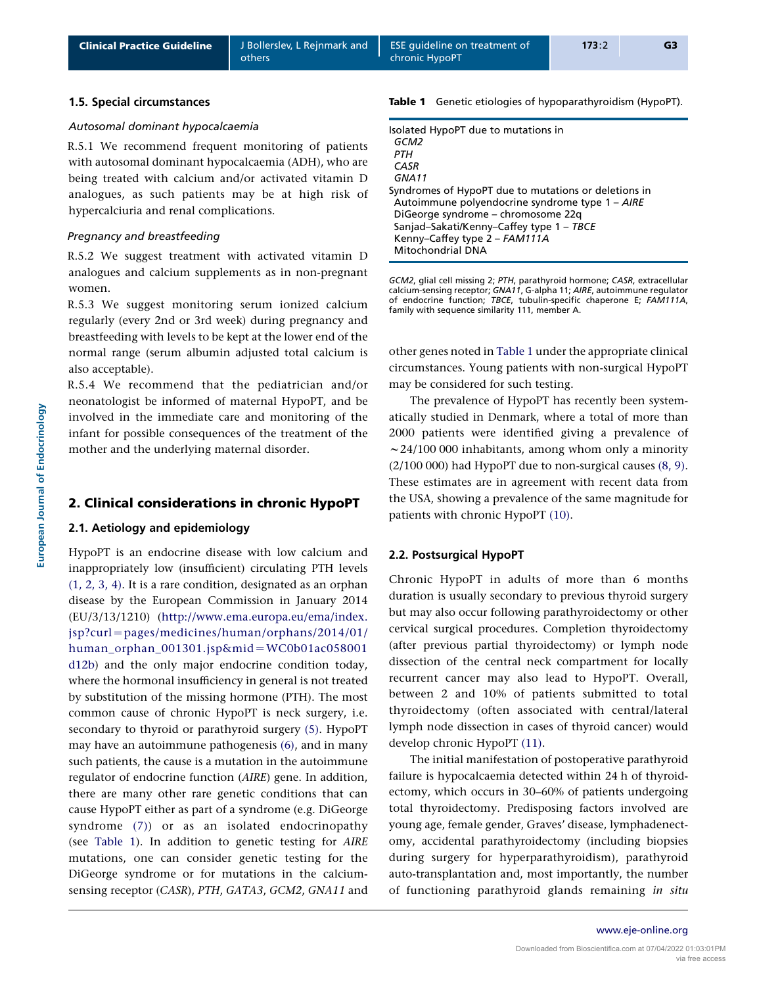# 1.5. Special circumstances

#### Autosomal dominant hypocalcaemia

R.5.1 We recommend frequent monitoring of patients with autosomal dominant hypocalcaemia (ADH), who are being treated with calcium and/or activated vitamin D analogues, as such patients may be at high risk of hypercalciuria and renal complications.

#### Pregnancy and breastfeeding

R.5.2 We suggest treatment with activated vitamin D analogues and calcium supplements as in non-pregnant women.

R.5.3 We suggest monitoring serum ionized calcium regularly (every 2nd or 3rd week) during pregnancy and breastfeeding with levels to be kept at the lower end of the normal range (serum albumin adjusted total calcium is also acceptable).

R.5.4 We recommend that the pediatrician and/or neonatologist be informed of maternal HypoPT, and be involved in the immediate care and monitoring of the infant for possible consequences of the treatment of the mother and the underlying maternal disorder.

# 2. Clinical considerations in chronic HypoPT

## 2.1. Aetiology and epidemiology

HypoPT is an endocrine disease with low calcium and inappropriately low (insufficient) circulating PTH levels [\(1, 2, 3, 4\)](#page-16-0). It is a rare condition, designated as an orphan disease by the European Commission in January 2014 (EU/3/13/1210) ([http://www.ema.europa.eu/ema/index.](http://www.ema.europa.eu/ema/index.jsp?curl=pages/medicines/human/orphans/2014/01/human_orphan_001301.jsp&mid=WC0b01ac058001d12b)  $jp?curl = pages/medicines/human/orphans/2014/01/$  $jp?curl = pages/medicines/human/orphans/2014/01/$ human\_orphan\_001301.jsp $\&$ mid = WC0b01ac058001 [d12b](http://www.ema.europa.eu/ema/index.jsp?curl=pages/medicines/human/orphans/2014/01/human_orphan_001301.jsp&mid=WC0b01ac058001d12b)) and the only major endocrine condition today, where the hormonal insufficiency in general is not treated by substitution of the missing hormone (PTH). The most common cause of chronic HypoPT is neck surgery, i.e. secondary to thyroid or parathyroid surgery [\(5\).](#page-16-0) HypoPT may have an autoimmune pathogenesis [\(6\)](#page-16-0), and in many such patients, the cause is a mutation in the autoimmune regulator of endocrine function (AIRE) gene. In addition, there are many other rare genetic conditions that can cause HypoPT either as part of a syndrome (e.g. DiGeorge syndrome [\(7\)](#page-16-0)) or as an isolated endocrinopathy (see Table 1). In addition to genetic testing for AIRE mutations, one can consider genetic testing for the DiGeorge syndrome or for mutations in the calciumsensing receptor (CASR), PTH, GATA3, GCM2, GNA11 and Table 1 Genetic etiologies of hypoparathyroidism (HypoPT).

| Isolated HypoPT due to mutations in<br>GCM2<br><b>PTH</b><br>CASR<br>GNA11                                                                                                                                                                      |  |
|-------------------------------------------------------------------------------------------------------------------------------------------------------------------------------------------------------------------------------------------------|--|
| Syndromes of HypoPT due to mutations or deletions in<br>Autoimmune polyendocrine syndrome type 1 – AIRE<br>DiGeorge syndrome – chromosome 22g<br>Sanjad-Sakati/Kenny-Caffey type 1 - TBCE<br>Kenny-Caffey type 2 - FAM111A<br>Mitochondrial DNA |  |

GCM2, glial cell missing 2; PTH, parathyroid hormone; CASR, extracellular calcium-sensing receptor; GNA11, G-alpha 11; AIRE, autoimmune regulator of endocrine function; TBCE, tubulin-specific chaperone E; FAM111A, family with sequence similarity 111, member A.

other genes noted in Table 1 under the appropriate clinical circumstances. Young patients with non-surgical HypoPT may be considered for such testing.

The prevalence of HypoPT has recently been systematically studied in Denmark, where a total of more than 2000 patients were identified giving a prevalence of  $\sim$  24/100 000 inhabitants, among whom only a minority (2/100 000) had HypoPT due to non-surgical causes [\(8, 9\).](#page-16-0) These estimates are in agreement with recent data from the USA, showing a prevalence of the same magnitude for patients with chronic HypoPT [\(10\).](#page-16-0)

#### 2.2. Postsurgical HypoPT

Chronic HypoPT in adults of more than 6 months duration is usually secondary to previous thyroid surgery but may also occur following parathyroidectomy or other cervical surgical procedures. Completion thyroidectomy (after previous partial thyroidectomy) or lymph node dissection of the central neck compartment for locally recurrent cancer may also lead to HypoPT. Overall, between 2 and 10% of patients submitted to total thyroidectomy (often associated with central/lateral lymph node dissection in cases of thyroid cancer) would develop chronic HypoPT [\(11\)](#page-16-0).

The initial manifestation of postoperative parathyroid failure is hypocalcaemia detected within 24 h of thyroidectomy, which occurs in 30–60% of patients undergoing total thyroidectomy. Predisposing factors involved are young age, female gender, Graves' disease, lymphadenectomy, accidental parathyroidectomy (including biopsies during surgery for hyperparathyroidism), parathyroid auto-transplantation and, most importantly, the number of functioning parathyroid glands remaining in situ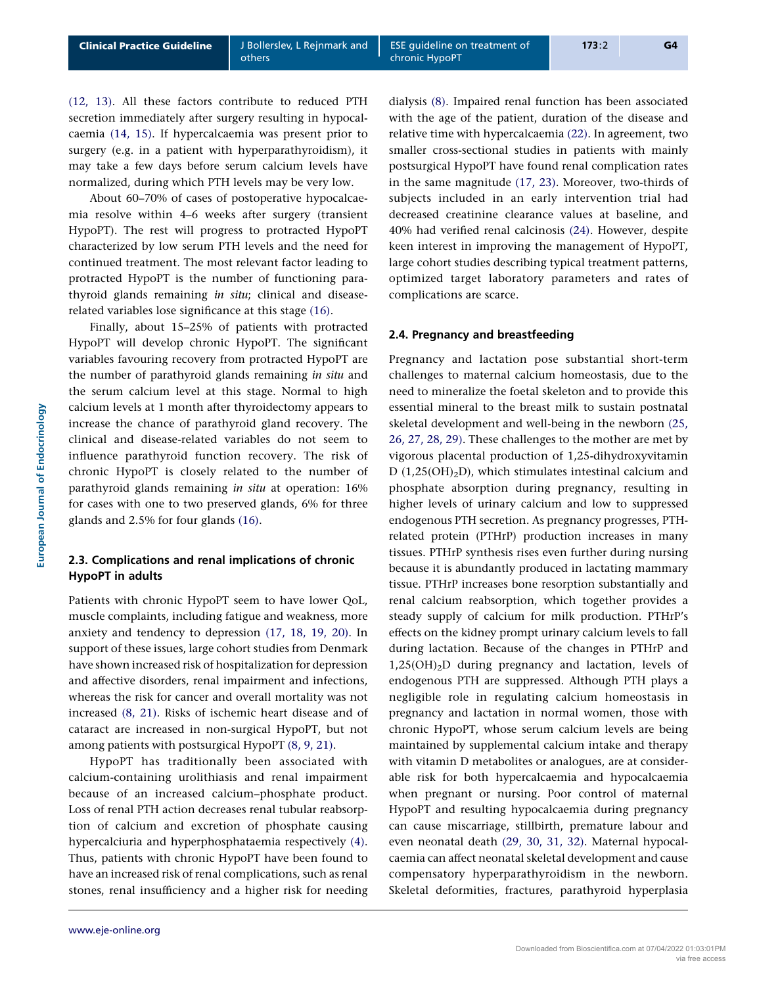[\(12, 13\)](#page-16-0). All these factors contribute to reduced PTH secretion immediately after surgery resulting in hypocalcaemia [\(14, 15\)](#page-16-0). If hypercalcaemia was present prior to surgery (e.g. in a patient with hyperparathyroidism), it may take a few days before serum calcium levels have normalized, during which PTH levels may be very low.

About 60–70% of cases of postoperative hypocalcaemia resolve within 4–6 weeks after surgery (transient HypoPT). The rest will progress to protracted HypoPT characterized by low serum PTH levels and the need for continued treatment. The most relevant factor leading to protracted HypoPT is the number of functioning parathyroid glands remaining in situ; clinical and diseaserelated variables lose significance at this stage [\(16\).](#page-16-0)

Finally, about 15–25% of patients with protracted HypoPT will develop chronic HypoPT. The significant variables favouring recovery from protracted HypoPT are the number of parathyroid glands remaining in situ and the serum calcium level at this stage. Normal to high calcium levels at 1 month after thyroidectomy appears to increase the chance of parathyroid gland recovery. The clinical and disease-related variables do not seem to influence parathyroid function recovery. The risk of chronic HypoPT is closely related to the number of parathyroid glands remaining in situ at operation: 16% for cases with one to two preserved glands, 6% for three glands and 2.5% for four glands [\(16\).](#page-16-0)

# 2.3. Complications and renal implications of chronic HypoPT in adults

Patients with chronic HypoPT seem to have lower QoL, muscle complaints, including fatigue and weakness, more anxiety and tendency to depression [\(17, 18, 19, 20\).](#page-16-0) In support of these issues, large cohort studies from Denmark have shown increased risk of hospitalization for depression and affective disorders, renal impairment and infections, whereas the risk for cancer and overall mortality was not increased [\(8, 21\)](#page-16-0). Risks of ischemic heart disease and of cataract are increased in non-surgical HypoPT, but not among patients with postsurgical HypoPT [\(8, 9, 21\)](#page-16-0).

HypoPT has traditionally been associated with calcium-containing urolithiasis and renal impairment because of an increased calcium–phosphate product. Loss of renal PTH action decreases renal tubular reabsorption of calcium and excretion of phosphate causing hypercalciuria and hyperphosphataemia respectively [\(4\).](#page-16-0) Thus, patients with chronic HypoPT have been found to have an increased risk of renal complications, such as renal stones, renal insufficiency and a higher risk for needing dialysis [\(8\).](#page-16-0) Impaired renal function has been associated with the age of the patient, duration of the disease and relative time with hypercalcaemia [\(22\)](#page-16-0). In agreement, two smaller cross-sectional studies in patients with mainly postsurgical HypoPT have found renal complication rates in the same magnitude [\(17, 23\).](#page-16-0) Moreover, two-thirds of subjects included in an early intervention trial had decreased creatinine clearance values at baseline, and 40% had verified renal calcinosis [\(24\)](#page-17-0). However, despite keen interest in improving the management of HypoPT, large cohort studies describing typical treatment patterns, optimized target laboratory parameters and rates of complications are scarce.

#### 2.4. Pregnancy and breastfeeding

Pregnancy and lactation pose substantial short-term challenges to maternal calcium homeostasis, due to the need to mineralize the foetal skeleton and to provide this essential mineral to the breast milk to sustain postnatal skeletal development and well-being in the newborn [\(25,](#page-17-0) [26, 27, 28, 29\)](#page-17-0). These challenges to the mother are met by vigorous placental production of 1,25-dihydroxyvitamin  $D$  (1,25(OH)<sub>2</sub>D), which stimulates intestinal calcium and phosphate absorption during pregnancy, resulting in higher levels of urinary calcium and low to suppressed endogenous PTH secretion. As pregnancy progresses, PTHrelated protein (PTHrP) production increases in many tissues. PTHrP synthesis rises even further during nursing because it is abundantly produced in lactating mammary tissue. PTHrP increases bone resorption substantially and renal calcium reabsorption, which together provides a steady supply of calcium for milk production. PTHrP's effects on the kidney prompt urinary calcium levels to fall during lactation. Because of the changes in PTHrP and 1,25(OH)2D during pregnancy and lactation, levels of endogenous PTH are suppressed. Although PTH plays a negligible role in regulating calcium homeostasis in pregnancy and lactation in normal women, those with chronic HypoPT, whose serum calcium levels are being maintained by supplemental calcium intake and therapy with vitamin D metabolites or analogues, are at considerable risk for both hypercalcaemia and hypocalcaemia when pregnant or nursing. Poor control of maternal HypoPT and resulting hypocalcaemia during pregnancy can cause miscarriage, stillbirth, premature labour and even neonatal death [\(29, 30, 31, 32\)](#page-17-0). Maternal hypocalcaemia can affect neonatal skeletal development and cause compensatory hyperparathyroidism in the newborn. Skeletal deformities, fractures, parathyroid hyperplasia

European Journal of Endocrinology

European Journal of Endocrinology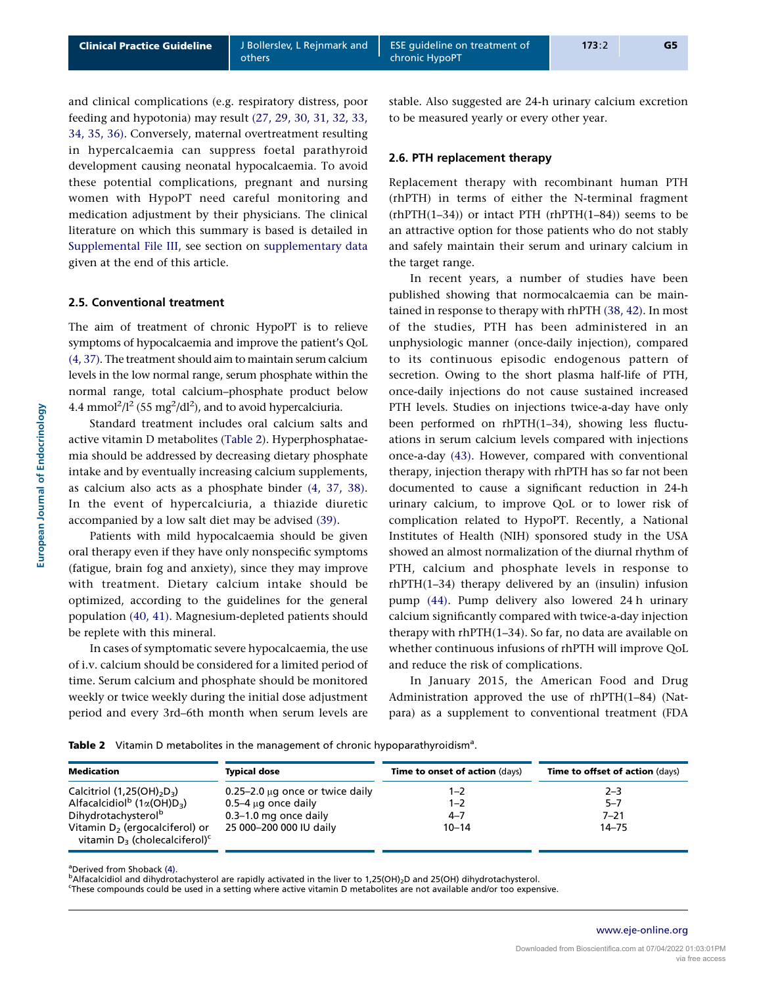<span id="page-4-0"></span>and clinical complications (e.g. respiratory distress, poor feeding and hypotonia) may result [\(27, 29, 30, 31, 32, 33,](#page-17-0) [34, 35, 36\).](#page-17-0) Conversely, maternal overtreatment resulting in hypercalcaemia can suppress foetal parathyroid development causing neonatal hypocalcaemia. To avoid these potential complications, pregnant and nursing women with HypoPT need careful monitoring and medication adjustment by their physicians. The clinical literature on which this summary is based is detailed in [Supplemental File III,](http://www.eje-online.org/cgi/content/full/EJE-15-0628/DC1) see section on [supplementary data](#page-16-0) given at the end of this article.

# 2.5. Conventional treatment

The aim of treatment of chronic HypoPT is to relieve symptoms of hypocalcaemia and improve the patient's QoL [\(4, 37\)](#page-16-0). The treatment should aim to maintain serum calcium levels in the low normal range, serum phosphate within the normal range, total calcium–phosphate product below 4.4 mmol<sup>2</sup>/l<sup>2</sup> (55 mg<sup>2</sup>/dl<sup>2</sup>), and to avoid hypercalciuria.

Standard treatment includes oral calcium salts and active vitamin D metabolites (Table 2). Hyperphosphataemia should be addressed by decreasing dietary phosphate intake and by eventually increasing calcium supplements, as calcium also acts as a phosphate binder [\(4, 37, 38\).](#page-16-0) In the event of hypercalciuria, a thiazide diuretic accompanied by a low salt diet may be advised [\(39\)](#page-17-0).

Patients with mild hypocalcaemia should be given oral therapy even if they have only nonspecific symptoms (fatigue, brain fog and anxiety), since they may improve with treatment. Dietary calcium intake should be optimized, according to the guidelines for the general population [\(40, 41\)](#page-17-0). Magnesium-depleted patients should be replete with this mineral.

In cases of symptomatic severe hypocalcaemia, the use of i.v. calcium should be considered for a limited period of time. Serum calcium and phosphate should be monitored weekly or twice weekly during the initial dose adjustment period and every 3rd–6th month when serum levels are stable. Also suggested are 24-h urinary calcium excretion to be measured yearly or every other year.

#### 2.6. PTH replacement therapy

Replacement therapy with recombinant human PTH (rhPTH) in terms of either the N-terminal fragment  $(rhPTH(1–34))$  or intact PTH  $(rhPTH(1–84))$  seems to be an attractive option for those patients who do not stably and safely maintain their serum and urinary calcium in the target range.

In recent years, a number of studies have been published showing that normocalcaemia can be maintained in response to therapy with rhPTH [\(38, 42\).](#page-17-0) In most of the studies, PTH has been administered in an unphysiologic manner (once-daily injection), compared to its continuous episodic endogenous pattern of secretion. Owing to the short plasma half-life of PTH, once-daily injections do not cause sustained increased PTH levels. Studies on injections twice-a-day have only been performed on rhPTH(1–34), showing less fluctuations in serum calcium levels compared with injections once-a-day [\(43\)](#page-17-0). However, compared with conventional therapy, injection therapy with rhPTH has so far not been documented to cause a significant reduction in 24-h urinary calcium, to improve QoL or to lower risk of complication related to HypoPT. Recently, a National Institutes of Health (NIH) sponsored study in the USA showed an almost normalization of the diurnal rhythm of PTH, calcium and phosphate levels in response to rhPTH(1–34) therapy delivered by an (insulin) infusion pump [\(44\).](#page-17-0) Pump delivery also lowered 24 h urinary calcium significantly compared with twice-a-day injection therapy with rhPTH(1–34). So far, no data are available on whether continuous infusions of rhPTH will improve QoL and reduce the risk of complications.

In January 2015, the American Food and Drug Administration approved the use of rhPTH(1–84) (Natpara) as a supplement to conventional treatment (FDA

Table 2 Vitamin D metabolites in the management of chronic hypoparathyroidism<sup>a</sup>.

| <b>Medication</b>                                                                                                                                                                                                            | <b>Typical dose</b>                                                                                               | <b>Time to onset of action (days)</b> | Time to offset of action (days)             |
|------------------------------------------------------------------------------------------------------------------------------------------------------------------------------------------------------------------------------|-------------------------------------------------------------------------------------------------------------------|---------------------------------------|---------------------------------------------|
| Calcitriol $(1,25(OH)_2D_3)$<br>Alfacalcidiol <sup>b</sup> (1 $\alpha$ (OH)D <sub>3</sub> )<br>Dihydrotachysterol <sup>b</sup><br>Vitamin D <sub>2</sub> (ergocalciferol) or<br>vitamin $D_3$ (cholecalciferol) <sup>c</sup> | $0.25-2.0 \mu$ g once or twice daily<br>$0.5-4$ µg once daily<br>0.3-1.0 mg once daily<br>25 000-200 000 IU daily | 1–2<br>1–2<br>$4 - 7$<br>$10 - 14$    | $2 - 3$<br>$5 - 7$<br>$7 - 21$<br>$14 - 75$ |

<sup>a</sup>Derived from Shoback (4)

°Derived from Shoback [\(4\)](#page-16-0).<br><sup>B</sup>Alfacalcidiol and dihydrotachysterol are rapidly activated in the liver to 1,25(OH)<sub>2</sub>D and 25(OH) dihydrotachysterol.<br>SThese compounds could be used in a setting whose active vitamin D motabe

These compounds could be used in a setting where active vitamin D metabolites are not available and/or too expensive.

European Journal of Endocrinology

European Journal of Endocrinology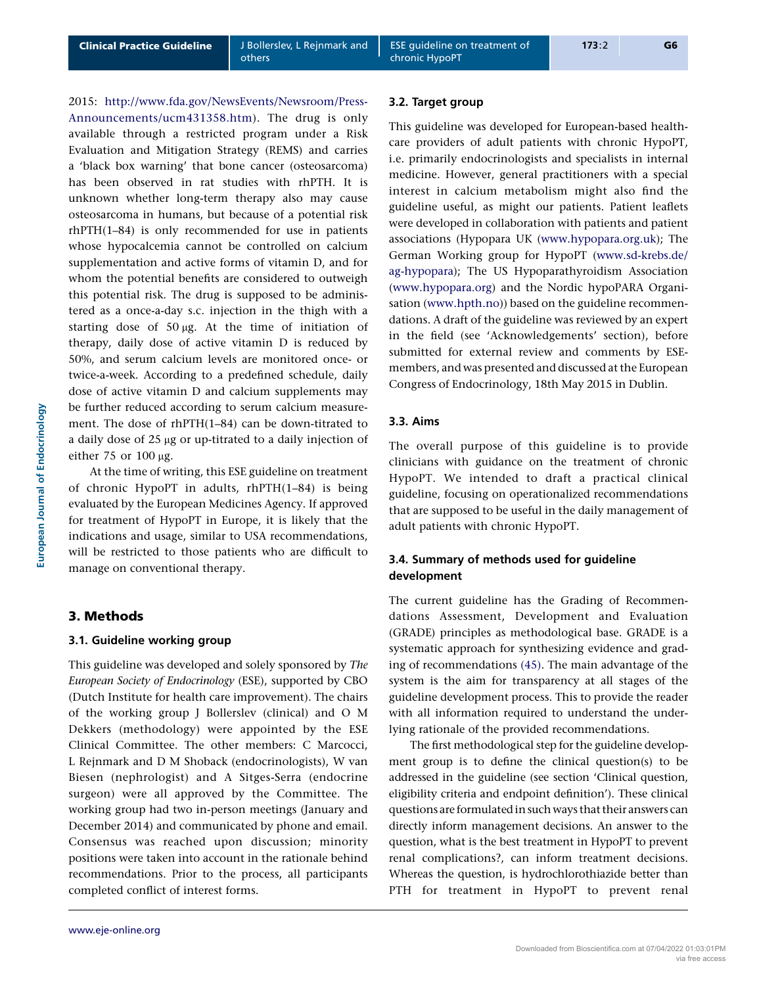2015: [http://www.fda.gov/NewsEvents/Newsroom/Press-](http://www.fda.gov/NewsEvents/Newsroom/PressAnnouncements/ucm431358.htm)[Announcements/ucm431358.htm](http://www.fda.gov/NewsEvents/Newsroom/PressAnnouncements/ucm431358.htm)). The drug is only available through a restricted program under a Risk Evaluation and Mitigation Strategy (REMS) and carries a 'black box warning' that bone cancer (osteosarcoma) has been observed in rat studies with rhPTH. It is unknown whether long-term therapy also may cause osteosarcoma in humans, but because of a potential risk rhPTH(1–84) is only recommended for use in patients whose hypocalcemia cannot be controlled on calcium supplementation and active forms of vitamin D, and for whom the potential benefits are considered to outweigh this potential risk. The drug is supposed to be administered as a once-a-day s.c. injection in the thigh with a starting dose of  $50 \mu g$ . At the time of initiation of therapy, daily dose of active vitamin D is reduced by 50%, and serum calcium levels are monitored once- or twice-a-week. According to a predefined schedule, daily dose of active vitamin D and calcium supplements may be further reduced according to serum calcium measurement. The dose of rhPTH(1–84) can be down-titrated to a daily dose of 25 µg or up-titrated to a daily injection of either 75 or  $100 \mu$ g.

At the time of writing, this ESE guideline on treatment of chronic HypoPT in adults, rhPTH(1–84) is being evaluated by the European Medicines Agency. If approved for treatment of HypoPT in Europe, it is likely that the indications and usage, similar to USA recommendations, will be restricted to those patients who are difficult to manage on conventional therapy.

## 3. Methods

## 3.1. Guideline working group

This guideline was developed and solely sponsored by The European Society of Endocrinology (ESE), supported by CBO (Dutch Institute for health care improvement). The chairs of the working group J Bollerslev (clinical) and O M Dekkers (methodology) were appointed by the ESE Clinical Committee. The other members: C Marcocci, L Rejnmark and D M Shoback (endocrinologists), W van Biesen (nephrologist) and A Sitges-Serra (endocrine surgeon) were all approved by the Committee. The working group had two in-person meetings (January and December 2014) and communicated by phone and email. Consensus was reached upon discussion; minority positions were taken into account in the rationale behind recommendations. Prior to the process, all participants completed conflict of interest forms.

#### 3.2. Target group

This guideline was developed for European-based healthcare providers of adult patients with chronic HypoPT, i.e. primarily endocrinologists and specialists in internal medicine. However, general practitioners with a special interest in calcium metabolism might also find the guideline useful, as might our patients. Patient leaflets were developed in collaboration with patients and patient associations (Hypopara UK ([www.hypopara.org.uk](http://www.hypopara.org.uk)); The German Working group for HypoPT [\(www.sd-krebs.de/](http://www.sd-krebs.de/ag-hypopara) [ag-hypopara](http://www.sd-krebs.de/ag-hypopara)); The US Hypoparathyroidism Association [\(www.hypopara.org](http://www.hypopara.org)) and the Nordic hypoPARA Organisation [\(www.hpth.no](http://www.hpth.no))) based on the guideline recommendations. A draft of the guideline was reviewed by an expert in the field (see 'Acknowledgements' section), before submitted for external review and comments by ESEmembers, and was presented and discussed at the European Congress of Endocrinology, 18th May 2015 in Dublin.

#### 3.3. Aims

The overall purpose of this guideline is to provide clinicians with guidance on the treatment of chronic HypoPT. We intended to draft a practical clinical guideline, focusing on operationalized recommendations that are supposed to be useful in the daily management of adult patients with chronic HypoPT.

## 3.4. Summary of methods used for guideline development

The current guideline has the Grading of Recommendations Assessment, Development and Evaluation (GRADE) principles as methodological base. GRADE is a systematic approach for synthesizing evidence and grading of recommendations [\(45\).](#page-17-0) The main advantage of the system is the aim for transparency at all stages of the guideline development process. This to provide the reader with all information required to understand the underlying rationale of the provided recommendations.

The first methodological step for the guideline development group is to define the clinical question(s) to be addressed in the guideline (see section 'Clinical question, eligibility criteria and endpoint definition'). These clinical questionsare formulated insuch waysthat theiranswerscan directly inform management decisions. An answer to the question, what is the best treatment in HypoPT to prevent renal complications?, can inform treatment decisions. Whereas the question, is hydrochlorothiazide better than PTH for treatment in HypoPT to prevent renal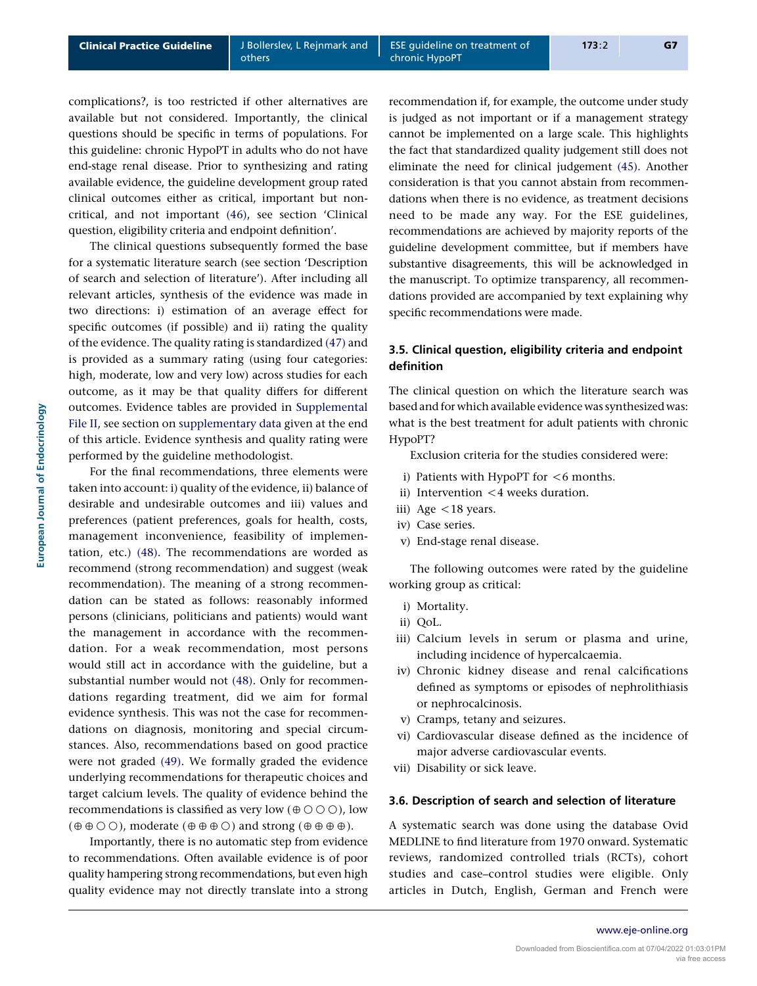complications?, is too restricted if other alternatives are available but not considered. Importantly, the clinical questions should be specific in terms of populations. For this guideline: chronic HypoPT in adults who do not have end-stage renal disease. Prior to synthesizing and rating available evidence, the guideline development group rated clinical outcomes either as critical, important but noncritical, and not important [\(46\),](#page-17-0) see section 'Clinical question, eligibility criteria and endpoint definition'.

The clinical questions subsequently formed the base for a systematic literature search (see section 'Description of search and selection of literature'). After including all relevant articles, synthesis of the evidence was made in two directions: i) estimation of an average effect for specific outcomes (if possible) and ii) rating the quality of the evidence. The quality rating is standardized [\(47\)](#page-17-0) and is provided as a summary rating (using four categories: high, moderate, low and very low) across studies for each outcome, as it may be that quality differs for different outcomes. Evidence tables are provided in [Supplemental](http://www.eje-online.org/cgi/content/full/EJE-15-0628/DC1) [File II,](http://www.eje-online.org/cgi/content/full/EJE-15-0628/DC1) see section on [supplementary data](#page-16-0) given at the end of this article. Evidence synthesis and quality rating were performed by the guideline methodologist.

For the final recommendations, three elements were taken into account: i) quality of the evidence, ii) balance of desirable and undesirable outcomes and iii) values and preferences (patient preferences, goals for health, costs, management inconvenience, feasibility of implementation, etc.) [\(48\).](#page-17-0) The recommendations are worded as recommend (strong recommendation) and suggest (weak recommendation). The meaning of a strong recommendation can be stated as follows: reasonably informed persons (clinicians, politicians and patients) would want the management in accordance with the recommendation. For a weak recommendation, most persons would still act in accordance with the guideline, but a substantial number would not [\(48\)](#page-17-0). Only for recommendations regarding treatment, did we aim for formal evidence synthesis. This was not the case for recommendations on diagnosis, monitoring and special circumstances. Also, recommendations based on good practice were not graded [\(49\).](#page-17-0) We formally graded the evidence underlying recommendations for therapeutic choices and target calcium levels. The quality of evidence behind the recommendations is classified as very low ( $\oplus \bigcirc \bigcirc$ ), low  $(\oplus \oplus \odot \odot)$ , moderate  $(\oplus \oplus \oplus \odot)$  and strong  $(\oplus \oplus \oplus \oplus)$ .

Importantly, there is no automatic step from evidence to recommendations. Often available evidence is of poor quality hampering strong recommendations, but even high quality evidence may not directly translate into a strong recommendation if, for example, the outcome under study is judged as not important or if a management strategy cannot be implemented on a large scale. This highlights the fact that standardized quality judgement still does not eliminate the need for clinical judgement [\(45\)](#page-17-0). Another consideration is that you cannot abstain from recommendations when there is no evidence, as treatment decisions need to be made any way. For the ESE guidelines, recommendations are achieved by majority reports of the guideline development committee, but if members have substantive disagreements, this will be acknowledged in the manuscript. To optimize transparency, all recommendations provided are accompanied by text explaining why specific recommendations were made.

## 3.5. Clinical question, eligibility criteria and endpoint definition

The clinical question on which the literature search was based and for which available evidence was synthesized was: what is the best treatment for adult patients with chronic HypoPT?

Exclusion criteria for the studies considered were:

- i) Patients with HypoPT for  $<6$  months.
- ii) Intervention  $<$  4 weeks duration.
- iii) Age  $<$  18 years.
- iv) Case series.
- v) End-stage renal disease.

The following outcomes were rated by the guideline working group as critical:

- i) Mortality.
- ii) QoL.
- iii) Calcium levels in serum or plasma and urine, including incidence of hypercalcaemia.
- iv) Chronic kidney disease and renal calcifications defined as symptoms or episodes of nephrolithiasis or nephrocalcinosis.
- v) Cramps, tetany and seizures.
- vi) Cardiovascular disease defined as the incidence of major adverse cardiovascular events.
- vii) Disability or sick leave.

#### 3.6. Description of search and selection of literature

A systematic search was done using the database Ovid MEDLINE to find literature from 1970 onward. Systematic reviews, randomized controlled trials (RCTs), cohort studies and case–control studies were eligible. Only articles in Dutch, English, German and French were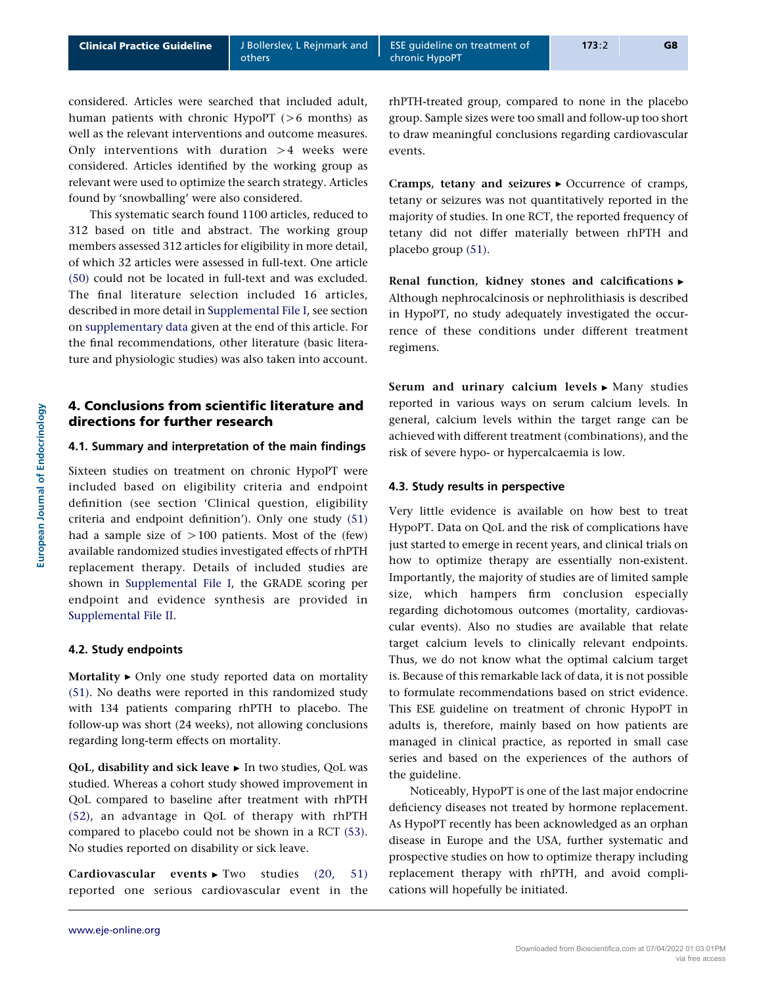considered. Articles were searched that included adult, human patients with chronic HypoPT ( $>6$  months) as well as the relevant interventions and outcome measures. Only interventions with duration  $>4$  weeks were considered. Articles identified by the working group as relevant were used to optimize the search strategy. Articles found by 'snowballing' were also considered.

This systematic search found 1100 articles, reduced to 312 based on title and abstract. The working group members assessed 312 articles for eligibility in more detail, of which 32 articles were assessed in full-text. One article [\(50\)](#page-17-0) could not be located in full-text and was excluded. The final literature selection included 16 articles, described in more detail in [Supplemental File I](http://www.eje-online.org/cgi/content/full/EJE-15-0628/DC1), see section on [supplementary data](#page-16-0) given at the end of this article. For the final recommendations, other literature (basic literature and physiologic studies) was also taken into account.

# 4. Conclusions from scientific literature and directions for further research

# 4.1. Summary and interpretation of the main findings

Sixteen studies on treatment on chronic HypoPT were included based on eligibility criteria and endpoint definition (see section 'Clinical question, eligibility criteria and endpoint definition'). Only one study [\(51\)](#page-17-0) had a sample size of  $>100$  patients. Most of the (few) available randomized studies investigated effects of rhPTH replacement therapy. Details of included studies are shown in [Supplemental File I](http://www.eje-online.org/cgi/content/full/EJE-15-0628/DC1), the GRADE scoring per endpoint and evidence synthesis are provided in [Supplemental File II](http://www.eje-online.org/cgi/content/full/EJE-15-0628/DC1).

#### 4.2. Study endpoints

Mortality  $\triangleright$  Only one study reported data on mortality [\(51\).](#page-17-0) No deaths were reported in this randomized study with 134 patients comparing rhPTH to placebo. The follow-up was short (24 weeks), not allowing conclusions regarding long-term effects on mortality.

QoL, disability and sick leave  $\blacktriangleright$  In two studies, QoL was studied. Whereas a cohort study showed improvement in QoL compared to baseline after treatment with rhPTH [\(52\),](#page-17-0) an advantage in QoL of therapy with rhPTH compared to placebo could not be shown in a RCT [\(53\).](#page-17-0) No studies reported on disability or sick leave.

Cardiovascular events  $\blacktriangleright$  Two studies [\(20, 51\)](#page-16-0) reported one serious cardiovascular event in the rhPTH-treated group, compared to none in the placebo group. Sample sizes were too small and follow-up too short to draw meaningful conclusions regarding cardiovascular events.

Cramps, tetany and seizures  $\triangleright$  Occurrence of cramps, tetany or seizures was not quantitatively reported in the majority of studies. In one RCT, the reported frequency of tetany did not differ materially between rhPTH and placebo group [\(51\)](#page-17-0).

Renal function, kidney stones and calcifications  $\blacktriangleright$ Although nephrocalcinosis or nephrolithiasis is described in HypoPT, no study adequately investigated the occurrence of these conditions under different treatment regimens.

Serum and urinary calcium levels  $\blacktriangleright$  Many studies reported in various ways on serum calcium levels. In general, calcium levels within the target range can be achieved with different treatment (combinations), and the risk of severe hypo- or hypercalcaemia is low.

#### 4.3. Study results in perspective

Very little evidence is available on how best to treat HypoPT. Data on QoL and the risk of complications have just started to emerge in recent years, and clinical trials on how to optimize therapy are essentially non-existent. Importantly, the majority of studies are of limited sample size, which hampers firm conclusion especially regarding dichotomous outcomes (mortality, cardiovascular events). Also no studies are available that relate target calcium levels to clinically relevant endpoints. Thus, we do not know what the optimal calcium target is. Because of this remarkable lack of data, it is not possible to formulate recommendations based on strict evidence. This ESE guideline on treatment of chronic HypoPT in adults is, therefore, mainly based on how patients are managed in clinical practice, as reported in small case series and based on the experiences of the authors of the guideline.

Noticeably, HypoPT is one of the last major endocrine deficiency diseases not treated by hormone replacement. As HypoPT recently has been acknowledged as an orphan disease in Europe and the USA, further systematic and prospective studies on how to optimize therapy including replacement therapy with rhPTH, and avoid complications will hopefully be initiated.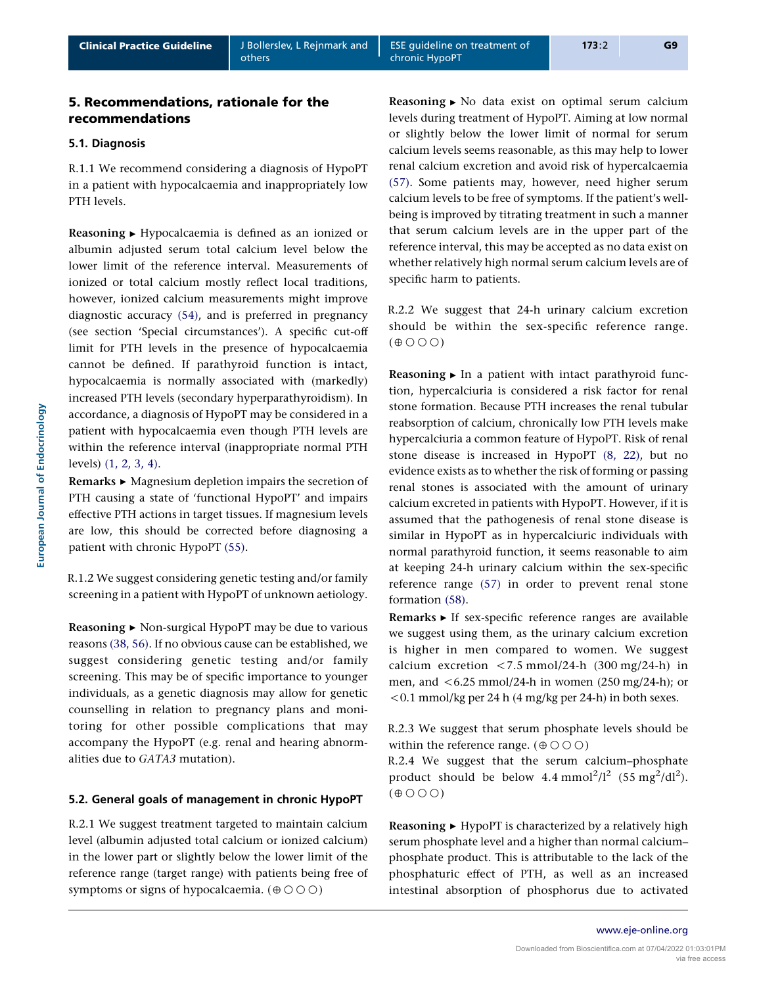# 5. Recommendations, rationale for the recommendations

## 5.1. Diagnosis

R.1.1 We recommend considering a diagnosis of HypoPT in a patient with hypocalcaemia and inappropriately low PTH levels.

Reasoning  $\blacktriangleright$  Hypocalcaemia is defined as an ionized or albumin adjusted serum total calcium level below the lower limit of the reference interval. Measurements of ionized or total calcium mostly reflect local traditions, however, ionized calcium measurements might improve diagnostic accuracy [\(54\),](#page-17-0) and is preferred in pregnancy (see section 'Special circumstances'). A specific cut-off limit for PTH levels in the presence of hypocalcaemia cannot be defined. If parathyroid function is intact, hypocalcaemia is normally associated with (markedly) increased PTH levels (secondary hyperparathyroidism). In accordance, a diagnosis of HypoPT may be considered in a patient with hypocalcaemia even though PTH levels are within the reference interval (inappropriate normal PTH levels) [\(1, 2, 3, 4\)](#page-16-0).

Remarks  $\blacktriangleright$  Magnesium depletion impairs the secretion of PTH causing a state of 'functional HypoPT' and impairs effective PTH actions in target tissues. If magnesium levels are low, this should be corrected before diagnosing a patient with chronic HypoPT [\(55\)](#page-17-0).

R.1.2 We suggest considering genetic testing and/or family screening in a patient with HypoPT of unknown aetiology.

**Reasoning**  $\triangleright$  Non-surgical HypoPT may be due to various reasons [\(38, 56\).](#page-17-0) If no obvious cause can be established, we suggest considering genetic testing and/or family screening. This may be of specific importance to younger individuals, as a genetic diagnosis may allow for genetic counselling in relation to pregnancy plans and monitoring for other possible complications that may accompany the HypoPT (e.g. renal and hearing abnormalities due to GATA3 mutation).

## 5.2. General goals of management in chronic HypoPT

R.2.1 We suggest treatment targeted to maintain calcium level (albumin adjusted total calcium or ionized calcium) in the lower part or slightly below the lower limit of the reference range (target range) with patients being free of symptoms or signs of hypocalcaemia.  $(\oplus \bigcirc \bigcirc \bigcirc)$ 

Reasoning  $\blacktriangleright$  No data exist on optimal serum calcium levels during treatment of HypoPT. Aiming at low normal or slightly below the lower limit of normal for serum calcium levels seems reasonable, as this may help to lower renal calcium excretion and avoid risk of hypercalcaemia [\(57\).](#page-18-0) Some patients may, however, need higher serum calcium levels to be free of symptoms. If the patient's wellbeing is improved by titrating treatment in such a manner that serum calcium levels are in the upper part of the reference interval, this may be accepted as no data exist on whether relatively high normal serum calcium levels are of specific harm to patients.

R.2.2 We suggest that 24-h urinary calcium excretion should be within the sex-specific reference range.  $(0000)$ 

Reasoning  $\blacktriangleright$  In a patient with intact parathyroid function, hypercalciuria is considered a risk factor for renal stone formation. Because PTH increases the renal tubular reabsorption of calcium, chronically low PTH levels make hypercalciuria a common feature of HypoPT. Risk of renal stone disease is increased in HypoPT [\(8, 22\)](#page-16-0), but no evidence exists as to whether the risk of forming or passing renal stones is associated with the amount of urinary calcium excreted in patients with HypoPT. However, if it is assumed that the pathogenesis of renal stone disease is similar in HypoPT as in hypercalciuric individuals with normal parathyroid function, it seems reasonable to aim at keeping 24-h urinary calcium within the sex-specific reference range [\(57\)](#page-18-0) in order to prevent renal stone formation [\(58\).](#page-18-0)

Remarks  $\blacktriangleright$  If sex-specific reference ranges are available we suggest using them, as the urinary calcium excretion is higher in men compared to women. We suggest calcium excretion  $\langle 7.5 \text{ mmol}/24\text{-}h (300 \text{ mg}/24\text{-}h)$  in men, and  $\langle 6.25 \text{ mmol}/24$ -h in women (250 mg/24-h); or !0.1 mmol/kg per 24 h (4 mg/kg per 24-h) in both sexes.

R.2.3 We suggest that serum phosphate levels should be within the reference range.  $(\oplus \bigcirc \bigcirc \bigcirc)$ 

R.2.4 We suggest that the serum calcium–phosphate product should be below  $4.4 \text{ mmol}^2/l^2$  (55 mg<sup>2</sup>/dl<sup>2</sup>).  $(\oplus \bigcirc \bigcirc \bigcirc)$ 

**Reasoning**  $\blacktriangleright$  HypoPT is characterized by a relatively high serum phosphate level and a higher than normal calcium– phosphate product. This is attributable to the lack of the phosphaturic effect of PTH, as well as an increased intestinal absorption of phosphorus due to activated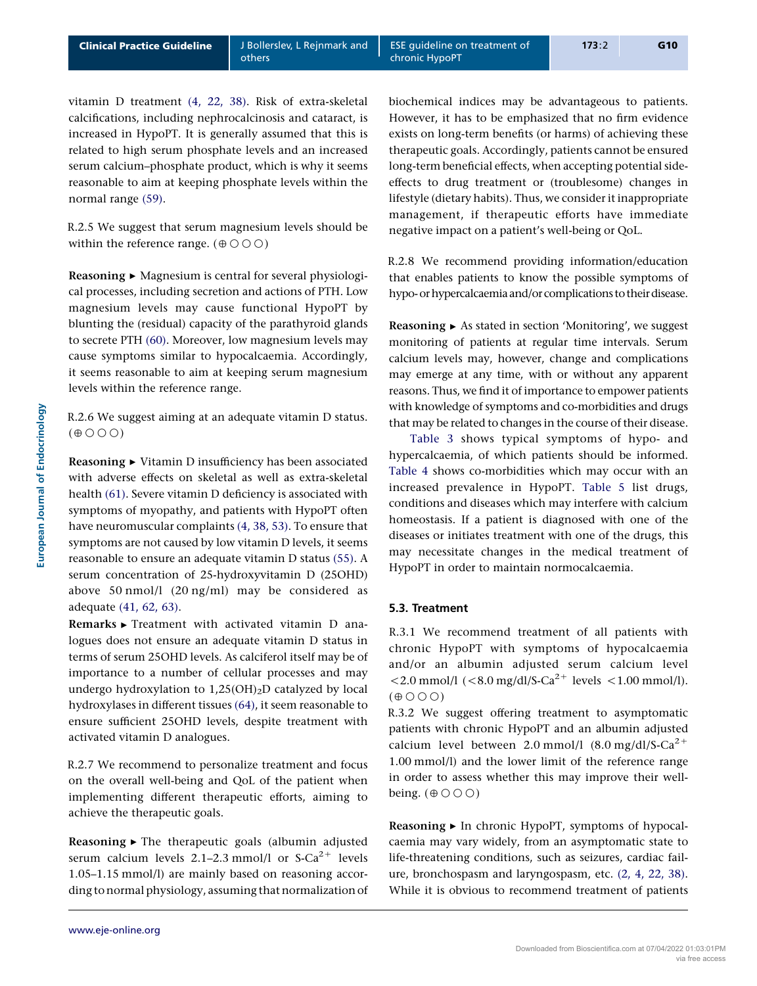vitamin D treatment [\(4, 22, 38\)](#page-16-0). Risk of extra-skeletal calcifications, including nephrocalcinosis and cataract, is increased in HypoPT. It is generally assumed that this is related to high serum phosphate levels and an increased serum calcium–phosphate product, which is why it seems reasonable to aim at keeping phosphate levels within the normal range [\(59\)](#page-18-0).

R.2.5 We suggest that serum magnesium levels should be within the reference range.  $(\oplus \bigcirc \bigcirc \bigcirc)$ 

Reasoning  $\blacktriangleright$  Magnesium is central for several physiological processes, including secretion and actions of PTH. Low magnesium levels may cause functional HypoPT by blunting the (residual) capacity of the parathyroid glands to secrete PTH [\(60\).](#page-18-0) Moreover, low magnesium levels may cause symptoms similar to hypocalcaemia. Accordingly, it seems reasonable to aim at keeping serum magnesium levels within the reference range.

R.2.6 We suggest aiming at an adequate vitamin D status.  $(\oplus \bigcirc \bigcirc \bigcirc)$ 

**Reasoning**  $\triangleright$  Vitamin D insufficiency has been associated with adverse effects on skeletal as well as extra-skeletal health [\(61\)](#page-18-0). Severe vitamin D deficiency is associated with symptoms of myopathy, and patients with HypoPT often have neuromuscular complaints [\(4, 38, 53\)](#page-16-0). To ensure that symptoms are not caused by low vitamin D levels, it seems reasonable to ensure an adequate vitamin D status [\(55\).](#page-17-0) A serum concentration of 25-hydroxyvitamin D (25OHD) above 50 nmol/l (20 ng/ml) may be considered as adequate [\(41, 62, 63\).](#page-17-0)

Remarks  $\blacktriangleright$  Treatment with activated vitamin D analogues does not ensure an adequate vitamin D status in terms of serum 25OHD levels. As calciferol itself may be of importance to a number of cellular processes and may undergo hydroxylation to  $1,25(OH)_2D$  catalyzed by local hydroxylases in different tissues [\(64\)](#page-18-0), it seem reasonable to ensure sufficient 25OHD levels, despite treatment with activated vitamin D analogues.

R.2.7 We recommend to personalize treatment and focus on the overall well-being and QoL of the patient when implementing different therapeutic efforts, aiming to achieve the therapeutic goals.

Reasoning  $\blacktriangleright$  The therapeutic goals (albumin adjusted serum calcium levels 2.1–2.3 mmol/l or  $S-Ca^{2+}$  levels 1.05–1.15 mmol/l) are mainly based on reasoning according to normal physiology, assuming that normalization of biochemical indices may be advantageous to patients. However, it has to be emphasized that no firm evidence exists on long-term benefits (or harms) of achieving these therapeutic goals. Accordingly, patients cannot be ensured long-term beneficial effects, when accepting potential sideeffects to drug treatment or (troublesome) changes in lifestyle (dietary habits). Thus, we consider it inappropriate management, if therapeutic efforts have immediate negative impact on a patient's well-being or QoL.

R.2.8 We recommend providing information/education that enables patients to know the possible symptoms of hypo- or hypercalcaemia and/or complications to their disease.

**Reasoning**  $\triangleright$  As stated in section 'Monitoring', we suggest monitoring of patients at regular time intervals. Serum calcium levels may, however, change and complications may emerge at any time, with or without any apparent reasons. Thus, we find it of importance to empower patients with knowledge of symptoms and co-morbidities and drugs that may be related to changes in the course of their disease.

[Table 3](#page-10-0) shows typical symptoms of hypo- and hypercalcaemia, of which patients should be informed. [Table 4](#page-10-0) shows co-morbidities which may occur with an increased prevalence in HypoPT. [Table 5](#page-11-0) list drugs, conditions and diseases which may interfere with calcium homeostasis. If a patient is diagnosed with one of the diseases or initiates treatment with one of the drugs, this may necessitate changes in the medical treatment of HypoPT in order to maintain normocalcaemia.

#### 5.3. Treatment

R.3.1 We recommend treatment of all patients with chronic HypoPT with symptoms of hypocalcaemia and/or an albumin adjusted serum calcium level  $\langle 2.0 \text{ mmol/l } (\langle 8.0 \text{ mg/dl/S-Ca}^{2+} \text{ levels } \langle 1.00 \text{ mmol/l.})$  $(\oplus \bigcirc \bigcirc \bigcirc)$ 

R.3.2 We suggest offering treatment to asymptomatic patients with chronic HypoPT and an albumin adjusted calcium level between 2.0 mmol/l  $(8.0 \text{ mg/dl/S-Ca}^{2+})$ 1.00 mmol/l) and the lower limit of the reference range in order to assess whether this may improve their wellbeing.  $(\oplus \bigcirc \bigcirc \bigcirc)$ 

Reasoning  $\blacktriangleright$  In chronic HypoPT, symptoms of hypocalcaemia may vary widely, from an asymptomatic state to life-threatening conditions, such as seizures, cardiac failure, bronchospasm and laryngospasm, etc. [\(2, 4, 22, 38\).](#page-16-0) While it is obvious to recommend treatment of patients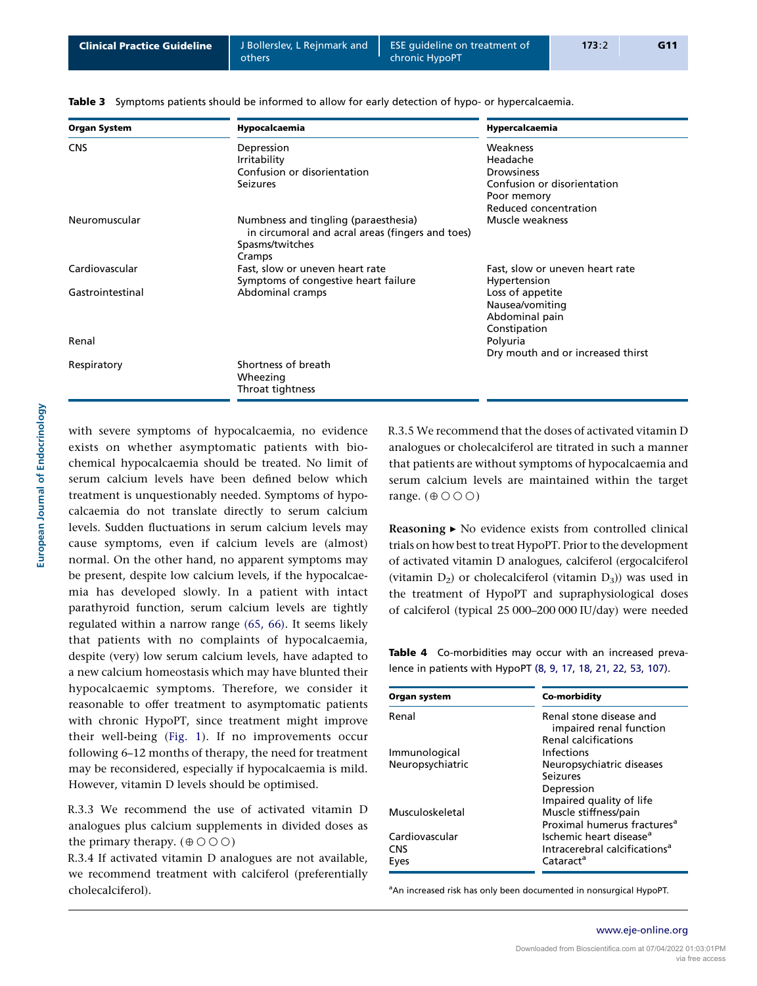| <b>Organ System</b> | Hypocalcaemia                                                                            | Hypercalcaemia                                  |
|---------------------|------------------------------------------------------------------------------------------|-------------------------------------------------|
| <b>CNS</b>          | Depression<br>Irritability                                                               | Weakness<br>Headache                            |
|                     | Confusion or disorientation                                                              | Drowsiness                                      |
|                     | <b>Seizures</b>                                                                          | Confusion or disorientation                     |
|                     |                                                                                          | Poor memory                                     |
|                     |                                                                                          | Reduced concentration                           |
| Neuromuscular       | Numbness and tingling (paraesthesia)<br>in circumoral and acral areas (fingers and toes) | Muscle weakness                                 |
|                     | Spasms/twitches                                                                          |                                                 |
|                     | Cramps                                                                                   |                                                 |
| Cardiovascular      | Fast, slow or uneven heart rate<br>Symptoms of congestive heart failure                  | Fast, slow or uneven heart rate<br>Hypertension |
| Gastrointestinal    | Abdominal cramps                                                                         | Loss of appetite                                |
|                     |                                                                                          | Nausea/vomiting                                 |
|                     |                                                                                          | Abdominal pain<br>Constipation                  |
| Renal               |                                                                                          | Polyuria                                        |
|                     |                                                                                          | Dry mouth and or increased thirst               |
| Respiratory         | Shortness of breath<br>Wheezing<br>Throat tightness                                      |                                                 |
|                     |                                                                                          |                                                 |

<span id="page-10-0"></span>

|  |  | Table 3 Symptoms patients should be informed to allow for early detection of hypo- or hypercalcaemia. |  |  |
|--|--|-------------------------------------------------------------------------------------------------------|--|--|
|--|--|-------------------------------------------------------------------------------------------------------|--|--|

with severe symptoms of hypocalcaemia, no evidence exists on whether asymptomatic patients with biochemical hypocalcaemia should be treated. No limit of serum calcium levels have been defined below which treatment is unquestionably needed. Symptoms of hypocalcaemia do not translate directly to serum calcium levels. Sudden fluctuations in serum calcium levels may cause symptoms, even if calcium levels are (almost) normal. On the other hand, no apparent symptoms may be present, despite low calcium levels, if the hypocalcaemia has developed slowly. In a patient with intact parathyroid function, serum calcium levels are tightly regulated within a narrow range [\(65, 66\)](#page-18-0). It seems likely that patients with no complaints of hypocalcaemia, despite (very) low serum calcium levels, have adapted to a new calcium homeostasis which may have blunted their hypocalcaemic symptoms. Therefore, we consider it reasonable to offer treatment to asymptomatic patients with chronic HypoPT, since treatment might improve their well-being ([Fig. 1\)](#page-12-0). If no improvements occur following 6–12 months of therapy, the need for treatment may be reconsidered, especially if hypocalcaemia is mild. However, vitamin D levels should be optimised.

R.3.3 We recommend the use of activated vitamin D analogues plus calcium supplements in divided doses as the primary therapy.  $(\oplus \bigcirc \bigcirc \bigcirc)$ 

R.3.4 If activated vitamin D analogues are not available, we recommend treatment with calciferol (preferentially cholecalciferol).

R.3.5 We recommend that the doses of activated vitamin D analogues or cholecalciferol are titrated in such a manner that patients are without symptoms of hypocalcaemia and serum calcium levels are maintained within the target range.  $(\oplus \bigcirc \bigcirc \bigcirc)$ 

Reasoning  $\blacktriangleright$  No evidence exists from controlled clinical trials on how best to treat HypoPT. Prior to the development of activated vitamin D analogues, calciferol (ergocalciferol (vitamin  $D_2$ ) or cholecalciferol (vitamin  $D_3$ )) was used in the treatment of HypoPT and supraphysiological doses of calciferol (typical 25 000–200 000 IU/day) were needed

Table 4 Co-morbidities may occur with an increased prevalence in patients with HypoPT (8, 9, 17, 18, 21, 22, 53, 107).

| Organ system     | Co-morbidity                                       |
|------------------|----------------------------------------------------|
| Renal            | Renal stone disease and<br>impaired renal function |
|                  | <b>Renal calcifications</b>                        |
| Immunological    | Infections                                         |
| Neuropsychiatric | Neuropsychiatric diseases                          |
|                  | Seizures                                           |
|                  | Depression                                         |
|                  | Impaired quality of life                           |
| Musculoskeletal  | Muscle stiffness/pain                              |
|                  | Proximal humerus fractures <sup>a</sup>            |
| Cardiovascular   | Ischemic heart disease <sup>a</sup>                |
| <b>CNS</b>       | Intracerebral calcifications <sup>a</sup>          |
| Eyes             | Cataract <sup>a</sup>                              |
|                  |                                                    |

<sup>a</sup>An increased risk has only been documented in nonsurgical HypoPT.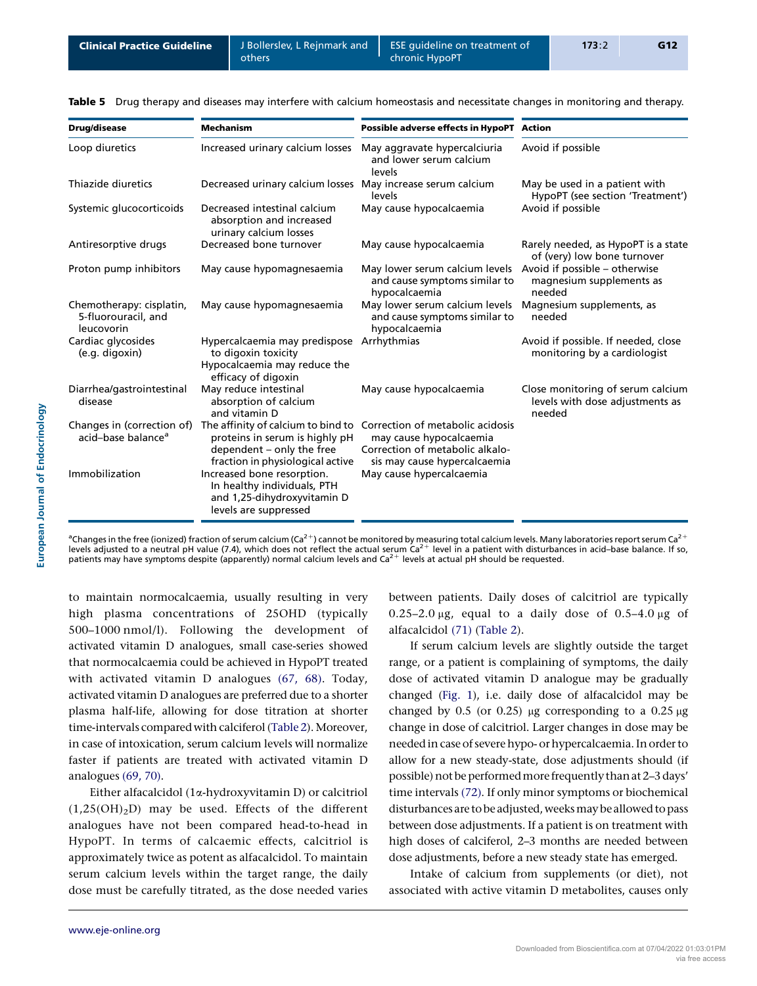| <b>Drug/disease</b>                                           | <b>Mechanism</b>                                                                                                                      | Possible adverse effects in HypoPT Action                                                                                      |                                                                                |
|---------------------------------------------------------------|---------------------------------------------------------------------------------------------------------------------------------------|--------------------------------------------------------------------------------------------------------------------------------|--------------------------------------------------------------------------------|
| Loop diuretics                                                | Increased urinary calcium losses                                                                                                      | May aggravate hypercalciuria<br>and lower serum calcium<br>levels                                                              | Avoid if possible                                                              |
| Thiazide diuretics                                            | Decreased urinary calcium losses May increase serum calcium                                                                           | levels                                                                                                                         | May be used in a patient with<br>HypoPT (see section 'Treatment')              |
| Systemic glucocorticoids                                      | Decreased intestinal calcium<br>absorption and increased<br>urinary calcium losses                                                    | May cause hypocalcaemia                                                                                                        | Avoid if possible                                                              |
| Antiresorptive drugs                                          | Decreased bone turnover                                                                                                               | May cause hypocalcaemia                                                                                                        | Rarely needed, as HypoPT is a state<br>of (very) low bone turnover             |
| Proton pump inhibitors                                        | May cause hypomagnesaemia                                                                                                             | May lower serum calcium levels<br>and cause symptoms similar to<br>hypocalcaemia                                               | Avoid if possible - otherwise<br>magnesium supplements as<br>needed            |
| Chemotherapy: cisplatin,<br>5-fluorouracil, and<br>leucovorin | May cause hypomagnesaemia                                                                                                             | May lower serum calcium levels<br>and cause symptoms similar to<br>hypocalcaemia                                               | Magnesium supplements, as<br>needed                                            |
| Cardiac glycosides<br>(e.g. digoxin)                          | Hypercalcaemia may predispose<br>to digoxin toxicity<br>Hypocalcaemia may reduce the<br>efficacy of digoxin                           | Arrhythmias                                                                                                                    | Avoid if possible. If needed, close<br>monitoring by a cardiologist            |
| Diarrhea/gastrointestinal<br>disease                          | May reduce intestinal<br>absorption of calcium<br>and vitamin D                                                                       | May cause hypocalcaemia                                                                                                        | Close monitoring of serum calcium<br>levels with dose adjustments as<br>needed |
| Changes in (correction of)<br>acid-base balance <sup>a</sup>  | The affinity of calcium to bind to<br>proteins in serum is highly pH<br>dependent – only the free<br>fraction in physiological active | Correction of metabolic acidosis<br>may cause hypocalcaemia<br>Correction of metabolic alkalo-<br>sis may cause hypercalcaemia |                                                                                |
| Immobilization                                                | Increased bone resorption.<br>In healthy individuals, PTH<br>and 1,25-dihydroxyvitamin D<br>levels are suppressed                     | May cause hypercalcaemia                                                                                                       |                                                                                |

<span id="page-11-0"></span>

|  | Table 5 Drug therapy and diseases may interfere with calcium homeostasis and necessitate changes in monitoring and therapy. |  |  |  |  |  |
|--|-----------------------------------------------------------------------------------------------------------------------------|--|--|--|--|--|
|--|-----------------------------------------------------------------------------------------------------------------------------|--|--|--|--|--|

<sup>a</sup>Changes in the free (ionized) fraction of serum calcium (Ca<sup>2+</sup>) cannot be monitored by measuring total calcium levels. Many laboratories report serum Ca<sup>2+</sup> levels adjusted to a neutral pH value (7.4), which does not reflect the actual serum  $\text{Ca}^{2+}$  level in a patient with disturbances in acid–base balance. If so, patients may have symptoms despite (apparently) normal calcium levels and Ca<sup>2+</sup> levels at actual pH should be requested.

to maintain normocalcaemia, usually resulting in very high plasma concentrations of 25OHD (typically 500–1000 nmol/l). Following the development of activated vitamin D analogues, small case-series showed that normocalcaemia could be achieved in HypoPT treated with activated vitamin D analogues [\(67, 68\)](#page-18-0). Today, activated vitamin D analogues are preferred due to a shorter plasma half-life, allowing for dose titration at shorter time-intervals compared with calciferol [\(Table 2](#page-4-0)). Moreover, in case of intoxication, serum calcium levels will normalize faster if patients are treated with activated vitamin D analogues [\(69, 70\)](#page-18-0).

Either alfacalcidol (1a-hydroxyvitamin D) or calcitriol  $(1,25(OH)_2D)$  may be used. Effects of the different analogues have not been compared head-to-head in HypoPT. In terms of calcaemic effects, calcitriol is approximately twice as potent as alfacalcidol. To maintain serum calcium levels within the target range, the daily dose must be carefully titrated, as the dose needed varies between patients. Daily doses of calcitriol are typically 0.25-2.0  $\mu$ g, equal to a daily dose of 0.5-4.0  $\mu$ g of alfacalcidol [\(71\)](#page-18-0) ([Table 2](#page-4-0)).

If serum calcium levels are slightly outside the target range, or a patient is complaining of symptoms, the daily dose of activated vitamin D analogue may be gradually changed [\(Fig. 1\)](#page-12-0), i.e. daily dose of alfacalcidol may be changed by 0.5 (or 0.25)  $\mu$ g corresponding to a 0.25  $\mu$ g change in dose of calcitriol. Larger changes in dose may be needed in case of severe hypo- or hypercalcaemia. In order to allow for a new steady-state, dose adjustments should (if possible) not be performed more frequently than at 2–3 days' time intervals [\(72\).](#page-18-0) If only minor symptoms or biochemical disturbances are to be adjusted, weeks may be allowed to pass between dose adjustments. If a patient is on treatment with high doses of calciferol, 2–3 months are needed between dose adjustments, before a new steady state has emerged.

Intake of calcium from supplements (or diet), not associated with active vitamin D metabolites, causes only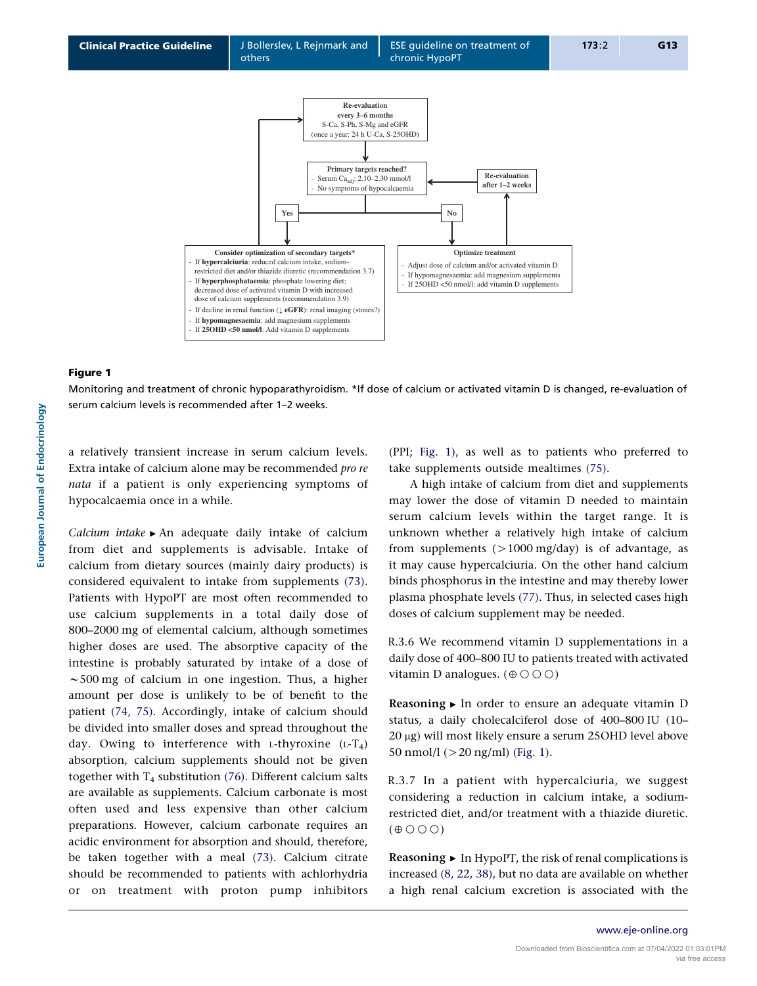<span id="page-12-0"></span>

#### Figure 1

Monitoring and treatment of chronic hypoparathyroidism. \*If dose of calcium or activated vitamin D is changed, re-evaluation of serum calcium levels is recommended after 1–2 weeks.

a relatively transient increase in serum calcium levels. Extra intake of calcium alone may be recommended pro re nata if a patient is only experiencing symptoms of hypocalcaemia once in a while.

Calcium intake  $\blacktriangleright$  An adequate daily intake of calcium from diet and supplements is advisable. Intake of calcium from dietary sources (mainly dairy products) is considered equivalent to intake from supplements [\(73\).](#page-18-0) Patients with HypoPT are most often recommended to use calcium supplements in a total daily dose of 800–2000 mg of elemental calcium, although sometimes higher doses are used. The absorptive capacity of the intestine is probably saturated by intake of a dose of  $\sim$  500 mg of calcium in one ingestion. Thus, a higher amount per dose is unlikely to be of benefit to the patient [\(74, 75\)](#page-18-0). Accordingly, intake of calcium should be divided into smaller doses and spread throughout the day. Owing to interference with L-thyroxine  $(L-T_4)$ absorption, calcium supplements should not be given together with  $T_4$  substitution [\(76\)](#page-18-0). Different calcium salts are available as supplements. Calcium carbonate is most often used and less expensive than other calcium preparations. However, calcium carbonate requires an acidic environment for absorption and should, therefore, be taken together with a meal [\(73\)](#page-18-0). Calcium citrate should be recommended to patients with achlorhydria or on treatment with proton pump inhibitors (PPI; Fig. 1), as well as to patients who preferred to take supplements outside mealtimes [\(75\)](#page-18-0).

A high intake of calcium from diet and supplements may lower the dose of vitamin D needed to maintain serum calcium levels within the target range. It is unknown whether a relatively high intake of calcium from supplements  $(>1000 \text{ mg/day})$  is of advantage, as it may cause hypercalciuria. On the other hand calcium binds phosphorus in the intestine and may thereby lower plasma phosphate levels [\(77\).](#page-18-0) Thus, in selected cases high doses of calcium supplement may be needed.

R.3.6 We recommend vitamin D supplementations in a daily dose of 400–800 IU to patients treated with activated vitamin D analogues.  $(\oplus \bigcirc \bigcirc \bigcirc)$ 

**Reasoning**  $\blacktriangleright$  In order to ensure an adequate vitamin D status, a daily cholecalciferol dose of 400–800 IU (10– 20 μg) will most likely ensure a serum 25OHD level above 50 nmol/l  $(>20 \text{ ng/ml})$  (Fig. 1).

R.3.7 In a patient with hypercalciuria, we suggest considering a reduction in calcium intake, a sodiumrestricted diet, and/or treatment with a thiazide diuretic.  $(\oplus \bigcirc \bigcirc \bigcirc)$ 

**Reasoning**  $\blacktriangleright$  In HypoPT, the risk of renal complications is increased [\(8, 22, 38\),](#page-16-0) but no data are available on whether a high renal calcium excretion is associated with the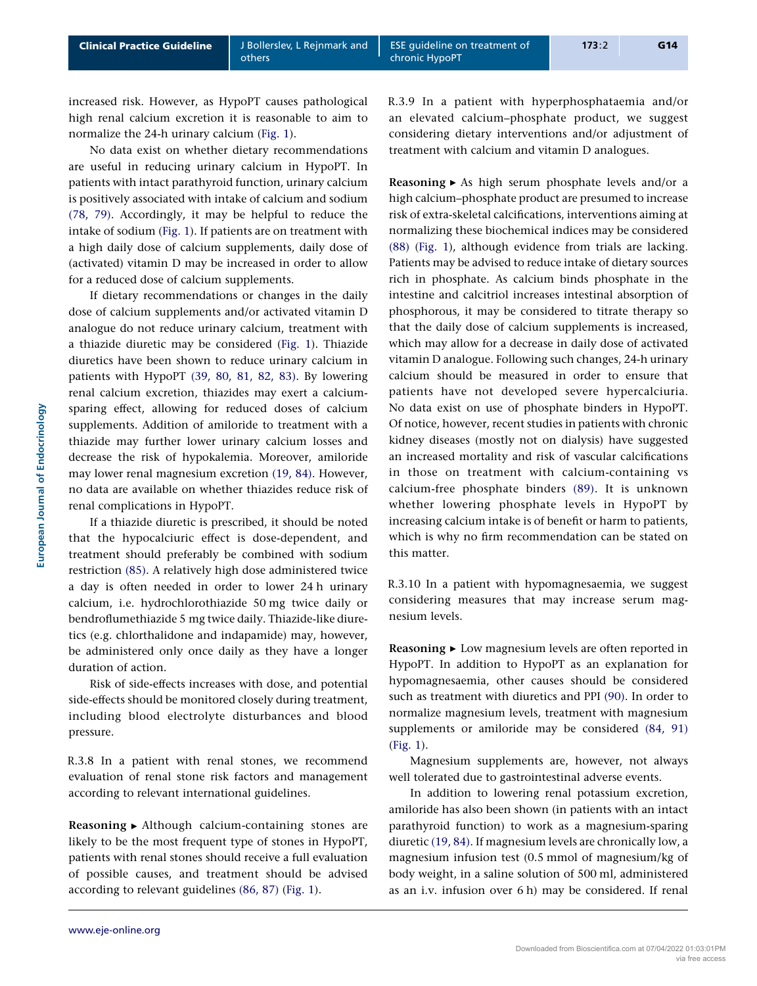increased risk. However, as HypoPT causes pathological high renal calcium excretion it is reasonable to aim to normalize the 24-h urinary calcium [\(Fig. 1](#page-12-0)).

No data exist on whether dietary recommendations are useful in reducing urinary calcium in HypoPT. In patients with intact parathyroid function, urinary calcium is positively associated with intake of calcium and sodium [\(78, 79\)](#page-18-0). Accordingly, it may be helpful to reduce the intake of sodium ([Fig. 1](#page-12-0)). If patients are on treatment with a high daily dose of calcium supplements, daily dose of (activated) vitamin D may be increased in order to allow for a reduced dose of calcium supplements.

If dietary recommendations or changes in the daily dose of calcium supplements and/or activated vitamin D analogue do not reduce urinary calcium, treatment with a thiazide diuretic may be considered [\(Fig. 1\)](#page-12-0). Thiazide diuretics have been shown to reduce urinary calcium in patients with HypoPT [\(39, 80, 81, 82, 83\)](#page-17-0). By lowering renal calcium excretion, thiazides may exert a calciumsparing effect, allowing for reduced doses of calcium supplements. Addition of amiloride to treatment with a thiazide may further lower urinary calcium losses and decrease the risk of hypokalemia. Moreover, amiloride may lower renal magnesium excretion [\(19, 84\)](#page-16-0). However, no data are available on whether thiazides reduce risk of renal complications in HypoPT.

If a thiazide diuretic is prescribed, it should be noted that the hypocalciuric effect is dose-dependent, and treatment should preferably be combined with sodium restriction [\(85\).](#page-18-0) A relatively high dose administered twice a day is often needed in order to lower 24 h urinary calcium, i.e. hydrochlorothiazide 50 mg twice daily or bendroflumethiazide 5 mg twice daily. Thiazide-like diuretics (e.g. chlorthalidone and indapamide) may, however, be administered only once daily as they have a longer duration of action.

Risk of side-effects increases with dose, and potential side-effects should be monitored closely during treatment, including blood electrolyte disturbances and blood pressure.

R.3.8 In a patient with renal stones, we recommend evaluation of renal stone risk factors and management according to relevant international guidelines.

Reasoning  $\blacktriangleright$  Although calcium-containing stones are likely to be the most frequent type of stones in HypoPT, patients with renal stones should receive a full evaluation of possible causes, and treatment should be advised according to relevant guidelines [\(86, 87\)](#page-18-0) ([Fig. 1](#page-12-0)).

R.3.9 In a patient with hyperphosphataemia and/or an elevated calcium–phosphate product, we suggest considering dietary interventions and/or adjustment of treatment with calcium and vitamin D analogues.

**Reasoning**  $\triangleright$  As high serum phosphate levels and/or a high calcium–phosphate product are presumed to increase risk of extra-skeletal calcifications, interventions aiming at normalizing these biochemical indices may be considered [\(88\)](#page-18-0) [\(Fig. 1\)](#page-12-0), although evidence from trials are lacking. Patients may be advised to reduce intake of dietary sources rich in phosphate. As calcium binds phosphate in the intestine and calcitriol increases intestinal absorption of phosphorous, it may be considered to titrate therapy so that the daily dose of calcium supplements is increased, which may allow for a decrease in daily dose of activated vitamin D analogue. Following such changes, 24-h urinary calcium should be measured in order to ensure that patients have not developed severe hypercalciuria. No data exist on use of phosphate binders in HypoPT. Of notice, however, recent studies in patients with chronic kidney diseases (mostly not on dialysis) have suggested an increased mortality and risk of vascular calcifications in those on treatment with calcium-containing vs calcium-free phosphate binders [\(89\).](#page-18-0) It is unknown whether lowering phosphate levels in HypoPT by increasing calcium intake is of benefit or harm to patients, which is why no firm recommendation can be stated on this matter.

R.3.10 In a patient with hypomagnesaemia, we suggest considering measures that may increase serum magnesium levels.

**Reasoning**  $\blacktriangleright$  Low magnesium levels are often reported in HypoPT. In addition to HypoPT as an explanation for hypomagnesaemia, other causes should be considered such as treatment with diuretics and PPI [\(90\)](#page-18-0). In order to normalize magnesium levels, treatment with magnesium supplements or amiloride may be considered [\(84, 91\)](#page-18-0) [\(Fig. 1](#page-12-0)).

Magnesium supplements are, however, not always well tolerated due to gastrointestinal adverse events.

In addition to lowering renal potassium excretion, amiloride has also been shown (in patients with an intact parathyroid function) to work as a magnesium-sparing diuretic [\(19, 84\).](#page-16-0) If magnesium levels are chronically low, a magnesium infusion test (0.5 mmol of magnesium/kg of body weight, in a saline solution of 500 ml, administered as an i.v. infusion over 6 h) may be considered. If renal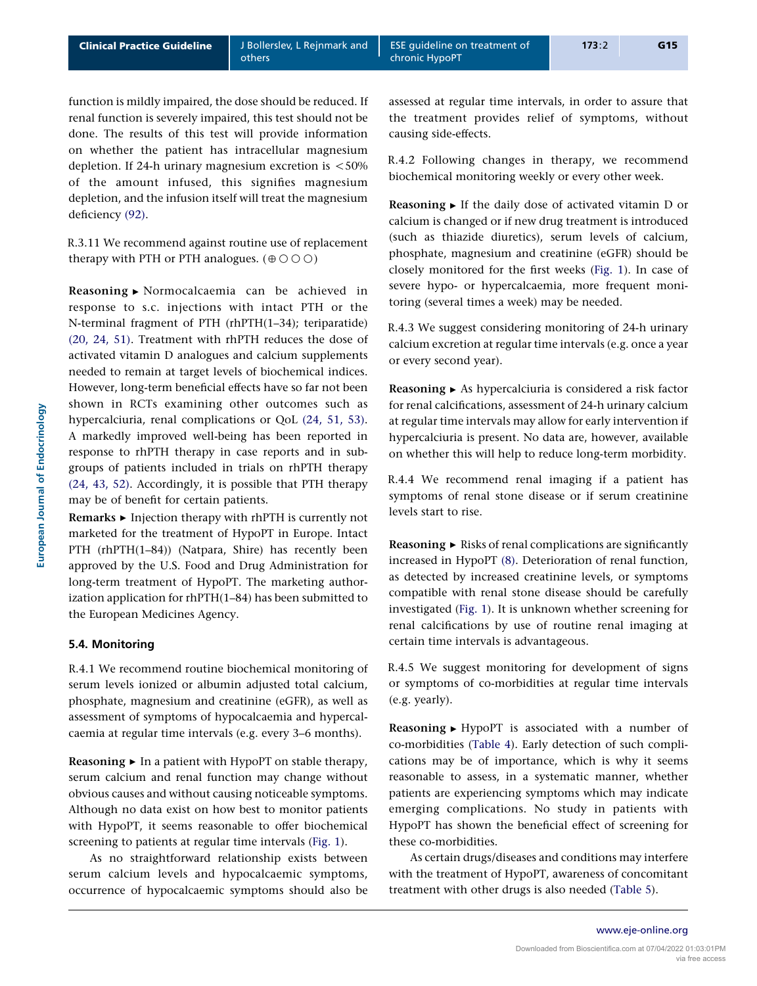function is mildly impaired, the dose should be reduced. If renal function is severely impaired, this test should not be done. The results of this test will provide information on whether the patient has intracellular magnesium depletion. If 24-h urinary magnesium excretion is  $<50\%$ of the amount infused, this signifies magnesium depletion, and the infusion itself will treat the magnesium deficiency [\(92\).](#page-19-0)

R.3.11 We recommend against routine use of replacement therapy with PTH or PTH analogues.  $(\oplus \bigcirc \bigcirc \bigcirc)$ 

Reasoning  $\blacktriangleright$  Normocalcaemia can be achieved in response to s.c. injections with intact PTH or the N-terminal fragment of PTH (rhPTH(1–34); teriparatide) [\(20, 24, 51\)](#page-16-0). Treatment with rhPTH reduces the dose of activated vitamin D analogues and calcium supplements needed to remain at target levels of biochemical indices. However, long-term beneficial effects have so far not been shown in RCTs examining other outcomes such as hypercalciuria, renal complications or QoL [\(24, 51, 53\).](#page-17-0) A markedly improved well-being has been reported in response to rhPTH therapy in case reports and in subgroups of patients included in trials on rhPTH therapy [\(24, 43, 52\)](#page-17-0). Accordingly, it is possible that PTH therapy may be of benefit for certain patients.

**Remarks**  $\blacktriangleright$  Injection therapy with rhPTH is currently not marketed for the treatment of HypoPT in Europe. Intact PTH (rhPTH(1–84)) (Natpara, Shire) has recently been approved by the U.S. Food and Drug Administration for long-term treatment of HypoPT. The marketing authorization application for rhPTH(1–84) has been submitted to the European Medicines Agency.

## 5.4. Monitoring

R.4.1 We recommend routine biochemical monitoring of serum levels ionized or albumin adjusted total calcium, phosphate, magnesium and creatinine (eGFR), as well as assessment of symptoms of hypocalcaemia and hypercalcaemia at regular time intervals (e.g. every 3–6 months).

Reasoning  $\blacktriangleright$  In a patient with HypoPT on stable therapy, serum calcium and renal function may change without obvious causes and without causing noticeable symptoms. Although no data exist on how best to monitor patients with HypoPT, it seems reasonable to offer biochemical screening to patients at regular time intervals ([Fig. 1](#page-12-0)).

As no straightforward relationship exists between serum calcium levels and hypocalcaemic symptoms, occurrence of hypocalcaemic symptoms should also be assessed at regular time intervals, in order to assure that the treatment provides relief of symptoms, without causing side-effects.

R.4.2 Following changes in therapy, we recommend biochemical monitoring weekly or every other week.

**Reasoning**  $\triangleright$  If the daily dose of activated vitamin D or calcium is changed or if new drug treatment is introduced (such as thiazide diuretics), serum levels of calcium, phosphate, magnesium and creatinine (eGFR) should be closely monitored for the first weeks [\(Fig. 1](#page-12-0)). In case of severe hypo- or hypercalcaemia, more frequent monitoring (several times a week) may be needed.

R.4.3 We suggest considering monitoring of 24-h urinary calcium excretion at regular time intervals (e.g. once a year or every second year).

**Reasoning**  $\triangleright$  As hypercalciuria is considered a risk factor for renal calcifications, assessment of 24-h urinary calcium at regular time intervals may allow for early intervention if hypercalciuria is present. No data are, however, available on whether this will help to reduce long-term morbidity.

R.4.4 We recommend renal imaging if a patient has symptoms of renal stone disease or if serum creatinine levels start to rise.

Reasoning  $\blacktriangleright$  Risks of renal complications are significantly increased in HypoPT [\(8\).](#page-16-0) Deterioration of renal function, as detected by increased creatinine levels, or symptoms compatible with renal stone disease should be carefully investigated ([Fig. 1](#page-12-0)). It is unknown whether screening for renal calcifications by use of routine renal imaging at certain time intervals is advantageous.

R.4.5 We suggest monitoring for development of signs or symptoms of co-morbidities at regular time intervals (e.g. yearly).

**Reasoning**  $\blacktriangleright$  HypoPT is associated with a number of co-morbidities [\(Table 4](#page-10-0)). Early detection of such complications may be of importance, which is why it seems reasonable to assess, in a systematic manner, whether patients are experiencing symptoms which may indicate emerging complications. No study in patients with HypoPT has shown the beneficial effect of screening for these co-morbidities.

As certain drugs/diseases and conditions may interfere with the treatment of HypoPT, awareness of concomitant treatment with other drugs is also needed [\(Table 5\)](#page-11-0).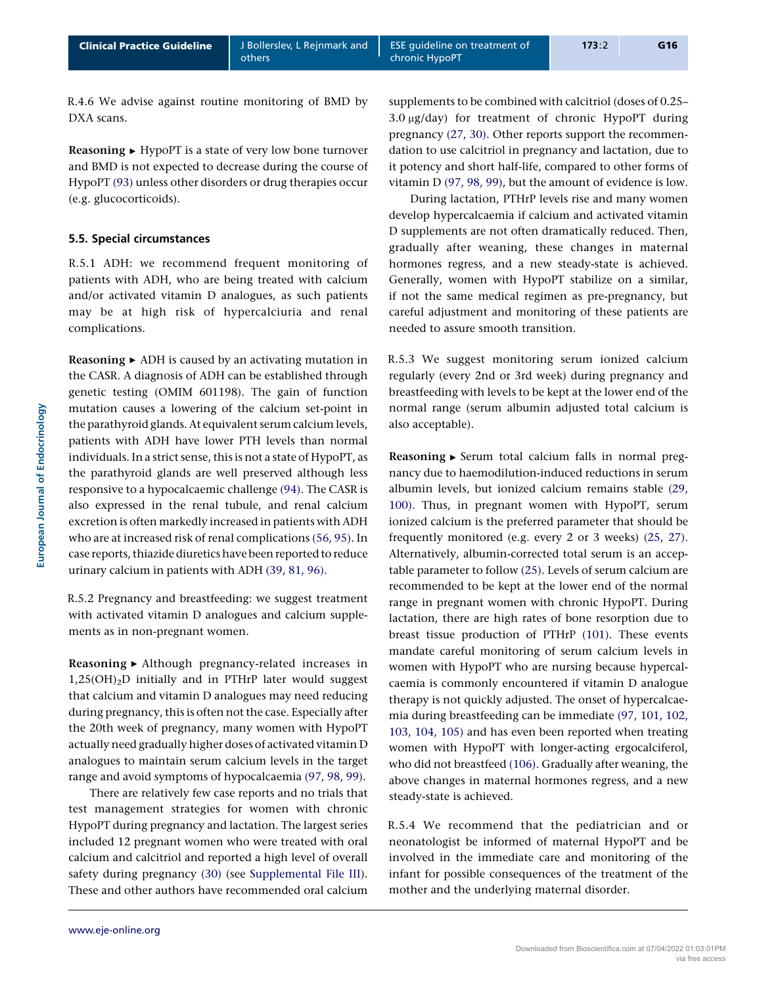R.4.6 We advise against routine monitoring of BMD by DXA scans.

Reasoning  $\blacktriangleright$  HypoPT is a state of very low bone turnover and BMD is not expected to decrease during the course of HypoPT [\(93\)](#page-19-0) unless other disorders or drug therapies occur (e.g. glucocorticoids).

#### 5.5. Special circumstances

R.5.1 ADH: we recommend frequent monitoring of patients with ADH, who are being treated with calcium and/or activated vitamin D analogues, as such patients may be at high risk of hypercalciuria and renal complications.

**Reasoning**  $\triangleright$  ADH is caused by an activating mutation in the CASR. A diagnosis of ADH can be established through genetic testing (OMIM 601198). The gain of function mutation causes a lowering of the calcium set-point in the parathyroid glands. At equivalent serum calcium levels, patients with ADH have lower PTH levels than normal individuals. In a strict sense, this is not a state of HypoPT, as the parathyroid glands are well preserved although less responsive to a hypocalcaemic challenge [\(94\)](#page-19-0). The CASR is also expressed in the renal tubule, and renal calcium excretion is often markedly increased in patients with ADH who are at increased risk of renal complications [\(56, 95\).](#page-18-0) In case reports, thiazide diuretics have been reported to reduce urinary calcium in patients with ADH [\(39, 81, 96\).](#page-17-0)

R.5.2 Pregnancy and breastfeeding: we suggest treatment with activated vitamin D analogues and calcium supplements as in non-pregnant women.

Reasoning  $\blacktriangleright$  Although pregnancy-related increases in  $1,25(OH)<sub>2</sub>D$  initially and in PTHrP later would suggest that calcium and vitamin D analogues may need reducing during pregnancy, this is often not the case. Especially after the 20th week of pregnancy, many women with HypoPT actually need gradually higher doses of activated vitamin D analogues to maintain serum calcium levels in the target range and avoid symptoms of hypocalcaemia [\(97, 98, 99\)](#page-19-0).

There are relatively few case reports and no trials that test management strategies for women with chronic HypoPT during pregnancy and lactation. The largest series included 12 pregnant women who were treated with oral calcium and calcitriol and reported a high level of overall safety during pregnancy [\(30\)](#page-17-0) (see [Supplemental File III](http://www.eje-online.org/cgi/content/full/EJE-15-0628/DC1)). These and other authors have recommended oral calcium supplements to be combined with calcitriol (doses of 0.25– 3.0 µg/day) for treatment of chronic HypoPT during pregnancy [\(27, 30\).](#page-17-0) Other reports support the recommendation to use calcitriol in pregnancy and lactation, due to it potency and short half-life, compared to other forms of vitamin D [\(97, 98, 99\),](#page-19-0) but the amount of evidence is low.

During lactation, PTHrP levels rise and many women develop hypercalcaemia if calcium and activated vitamin D supplements are not often dramatically reduced. Then, gradually after weaning, these changes in maternal hormones regress, and a new steady-state is achieved. Generally, women with HypoPT stabilize on a similar, if not the same medical regimen as pre-pregnancy, but careful adjustment and monitoring of these patients are needed to assure smooth transition.

R.5.3 We suggest monitoring serum ionized calcium regularly (every 2nd or 3rd week) during pregnancy and breastfeeding with levels to be kept at the lower end of the normal range (serum albumin adjusted total calcium is also acceptable).

Reasoning  $\triangleright$  Serum total calcium falls in normal pregnancy due to haemodilution-induced reductions in serum albumin levels, but ionized calcium remains stable [\(29,](#page-17-0) [100\).](#page-17-0) Thus, in pregnant women with HypoPT, serum ionized calcium is the preferred parameter that should be frequently monitored (e.g. every 2 or 3 weeks) [\(25, 27\).](#page-17-0) Alternatively, albumin-corrected total serum is an acceptable parameter to follow [\(25\)](#page-17-0). Levels of serum calcium are recommended to be kept at the lower end of the normal range in pregnant women with chronic HypoPT. During lactation, there are high rates of bone resorption due to breast tissue production of PTHrP [\(101\).](#page-19-0) These events mandate careful monitoring of serum calcium levels in women with HypoPT who are nursing because hypercalcaemia is commonly encountered if vitamin D analogue therapy is not quickly adjusted. The onset of hypercalcaemia during breastfeeding can be immediate [\(97, 101, 102,](#page-19-0) [103, 104, 105\)](#page-19-0) and has even been reported when treating women with HypoPT with longer-acting ergocalciferol, who did not breastfeed [\(106\).](#page-19-0) Gradually after weaning, the above changes in maternal hormones regress, and a new steady-state is achieved.

R.5.4 We recommend that the pediatrician and or neonatologist be informed of maternal HypoPT and be involved in the immediate care and monitoring of the infant for possible consequences of the treatment of the mother and the underlying maternal disorder.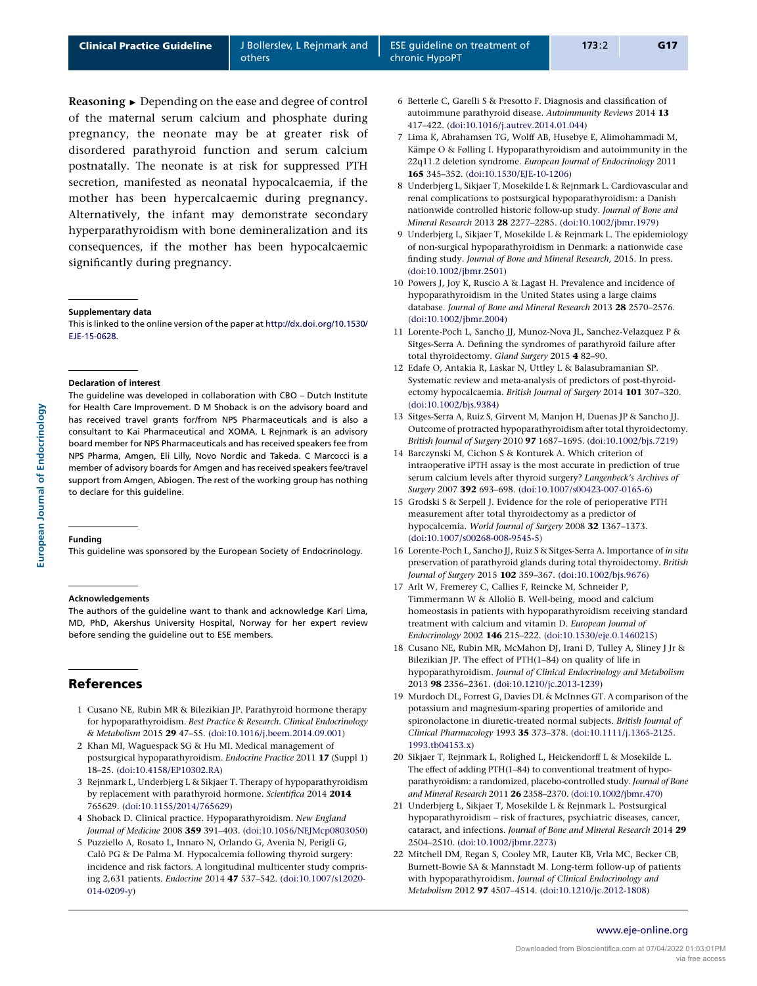<span id="page-16-0"></span>Reasoning  $\blacktriangleright$  Depending on the ease and degree of control of the maternal serum calcium and phosphate during pregnancy, the neonate may be at greater risk of disordered parathyroid function and serum calcium postnatally. The neonate is at risk for suppressed PTH secretion, manifested as neonatal hypocalcaemia, if the mother has been hypercalcaemic during pregnancy. Alternatively, the infant may demonstrate secondary hyperparathyroidism with bone demineralization and its consequences, if the mother has been hypocalcaemic significantly during pregnancy.

#### Supplementary data

This is linked to the online version of the paper at [http://dx.doi.org/10.1530/](http://dx.doi.org/10.1530/EJE-15-0628) [EJE-15-0628](http://dx.doi.org/10.1530/EJE-15-0628).

#### Declaration of interest

The guideline was developed in collaboration with CBO – Dutch Institute for Health Care Improvement. D M Shoback is on the advisory board and has received travel grants for/from NPS Pharmaceuticals and is also a consultant to Kai Pharmaceutical and XOMA. L Rejnmark is an advisory board member for NPS Pharmaceuticals and has received speakers fee from NPS Pharma, Amgen, Eli Lilly, Novo Nordic and Takeda. C Marcocci is a member of advisory boards for Amgen and has received speakers fee/travel support from Amgen, Abiogen. The rest of the working group has nothing to declare for this guideline.

#### Funding

This guideline was sponsored by the European Society of Endocrinology.

#### Acknowledgements

The authors of the guideline want to thank and acknowledge Kari Lima, MD, PhD, Akershus University Hospital, Norway for her expert review before sending the guideline out to ESE members.

## References

- 1 Cusano NE, Rubin MR & Bilezikian JP. Parathyroid hormone therapy for hypoparathyroidism. Best Practice & Research. Clinical Endocrinology & Metabolism 2015 29 47–55. [\(doi:10.1016/j.beem.2014.09.001\)](http://dx.doi.org/10.1016/j.beem.2014.09.001)
- 2 Khan MI, Waguespack SG & Hu MI. Medical management of postsurgical hypoparathyroidism. Endocrine Practice 2011 17 (Suppl 1) 18–25. [\(doi:10.4158/EP10302.RA\)](http://dx.doi.org/10.4158/EP10302.RA)
- 3 Rejnmark L, Underbjerg L & Sikjaer T. Therapy of hypoparathyroidism by replacement with parathyroid hormone. Scientifica 2014 2014 765629. ([doi:10.1155/2014/765629\)](http://dx.doi.org/10.1155/2014/765629)
- 4 Shoback D. Clinical practice. Hypoparathyroidism. New England Journal of Medicine 2008 359 391–403. [\(doi:10.1056/NEJMcp0803050\)](http://dx.doi.org/10.1056/NEJMcp0803050)
- 5 Puzziello A, Rosato L, Innaro N, Orlando G, Avenia N, Perigli G, Calò PG & De Palma M. Hypocalcemia following thyroid surgery: incidence and risk factors. A longitudinal multicenter study comprising 2,631 patients. Endocrine 2014 47 537–542. [\(doi:10.1007/s12020-](http://dx.doi.org/10.1007/s12020-014-0209-y) [014-0209-y\)](http://dx.doi.org/10.1007/s12020-014-0209-y)
- 6 Betterle C, Garelli S & Presotto F. Diagnosis and classification of autoimmune parathyroid disease. Autoimmunity Reviews 2014 13 417–422. [\(doi:10.1016/j.autrev.2014.01.044](http://dx.doi.org/10.1016/j.autrev.2014.01.044))
- 7 Lima K, Abrahamsen TG, Wolff AB, Husebye E, Alimohammadi M, Kämpe O & Følling I. Hypoparathyroidism and autoimmunity in the 22q11.2 deletion syndrome. European Journal of Endocrinology 2011 165 345–352. ([doi:10.1530/EJE-10-1206\)](http://dx.doi.org/10.1530/EJE-10-1206)
- 8 Underbjerg L, Sikjaer T, Mosekilde L & Rejnmark L. Cardiovascular and renal complications to postsurgical hypoparathyroidism: a Danish nationwide controlled historic follow-up study. Journal of Bone and Mineral Research 2013 28 2277–2285. [\(doi:10.1002/jbmr.1979](http://dx.doi.org/10.1002/jbmr.1979))
- 9 Underbjerg L, Sikjaer T, Mosekilde L & Rejnmark L. The epidemiology of non-surgical hypoparathyroidism in Denmark: a nationwide case finding study. Journal of Bone and Mineral Research, 2015. In press. ([doi:10.1002/jbmr.2501\)](http://dx.doi.org/10.1002/jbmr.2501)
- 10 Powers J, Joy K, Ruscio A & Lagast H. Prevalence and incidence of hypoparathyroidism in the United States using a large claims database. Journal of Bone and Mineral Research 2013 28 2570–2576. [\(doi:10.1002/jbmr.2004](http://dx.doi.org/10.1002/jbmr.2004))
- 11 Lorente-Poch L, Sancho JJ, Munoz-Nova JL, Sanchez-Velazquez P & Sitges-Serra A. Defining the syndromes of parathyroid failure after total thyroidectomy. Gland Surgery 2015 4 82-90.
- 12 Edafe O, Antakia R, Laskar N, Uttley L & Balasubramanian SP. Systematic review and meta-analysis of predictors of post-thyroidectomy hypocalcaemia. British Journal of Surgery 2014 101 307-320. [\(doi:10.1002/bjs.9384\)](http://dx.doi.org/10.1002/bjs.9384)
- 13 Sitges-Serra A, Ruiz S, Girvent M, Manjon H, Duenas JP & Sancho JJ. Outcome of protracted hypoparathyroidism after total thyroidectomy. British Journal of Surgery 2010 97 1687–1695. [\(doi:10.1002/bjs.7219\)](http://dx.doi.org/10.1002/bjs.7219)
- 14 Barczynski M, Cichon S & Konturek A. Which criterion of intraoperative iPTH assay is the most accurate in prediction of true serum calcium levels after thyroid surgery? Langenbeck's Archives of Surgery 2007 392 693–698. ([doi:10.1007/s00423-007-0165-6](http://dx.doi.org/10.1007/s00423-007-0165-6))
- 15 Grodski S & Serpell J. Evidence for the role of perioperative PTH measurement after total thyroidectomy as a predictor of hypocalcemia. World Journal of Surgery 2008 32 1367–1373. [\(doi:10.1007/s00268-008-9545-5](http://dx.doi.org/10.1007/s00268-008-9545-5))
- 16 Lorente-Poch L, Sancho JJ, Ruiz S & Sitges-Serra A. Importance of in situ preservation of parathyroid glands during total thyroidectomy. British Journal of Surgery 2015 102 359–367. ([doi:10.1002/bjs.9676](http://dx.doi.org/10.1002/bjs.9676))
- 17 Arlt W, Fremerey C, Callies F, Reincke M, Schneider P, Timmermann W & Allolio B. Well-being, mood and calcium homeostasis in patients with hypoparathyroidism receiving standard treatment with calcium and vitamin D. European Journal of Endocrinology 2002 146 215–222. [\(doi:10.1530/eje.0.1460215](http://dx.doi.org/10.1530/eje.0.1460215))
- 18 Cusano NE, Rubin MR, McMahon DJ, Irani D, Tulley A, Sliney J Jr & Bilezikian JP. The effect of PTH(1–84) on quality of life in hypoparathyroidism. Journal of Clinical Endocrinology and Metabolism 2013 98 2356–2361. ([doi:10.1210/jc.2013-1239](http://dx.doi.org/10.1210/jc.2013-1239))
- 19 Murdoch DL, Forrest G, Davies DL & McInnes GT. A comparison of the potassium and magnesium-sparing properties of amiloride and spironolactone in diuretic-treated normal subjects. British Journal of Clinical Pharmacology 1993 35 373–378. [\(doi:10.1111/j.1365-2125.](http://dx.doi.org/10.1111/j.1365-2125.1993.tb04153.x) [1993.tb04153.x\)](http://dx.doi.org/10.1111/j.1365-2125.1993.tb04153.x)
- 20 Sikjaer T, Rejnmark L, Rolighed L, Heickendorff L & Mosekilde L. The effect of adding PTH(1–84) to conventional treatment of hypoparathyroidism: a randomized, placebo-controlled study. Journal of Bone and Mineral Research 2011 26 2358–2370. [\(doi:10.1002/jbmr.470](http://dx.doi.org/10.1002/jbmr.470))
- 21 Underbjerg L, Sikjaer T, Mosekilde L & Rejnmark L. Postsurgical hypoparathyroidism – risk of fractures, psychiatric diseases, cancer, cataract, and infections. Journal of Bone and Mineral Research 2014 29 2504–2510. ([doi:10.1002/jbmr.2273\)](http://dx.doi.org/10.1002/jbmr.2273)
- 22 Mitchell DM, Regan S, Cooley MR, Lauter KB, Vrla MC, Becker CB, Burnett-Bowie SA & Mannstadt M. Long-term follow-up of patients with hypoparathyroidism. Journal of Clinical Endocrinology and Metabolism 2012 97 4507–4514. [\(doi:10.1210/jc.2012-1808\)](http://dx.doi.org/10.1210/jc.2012-1808)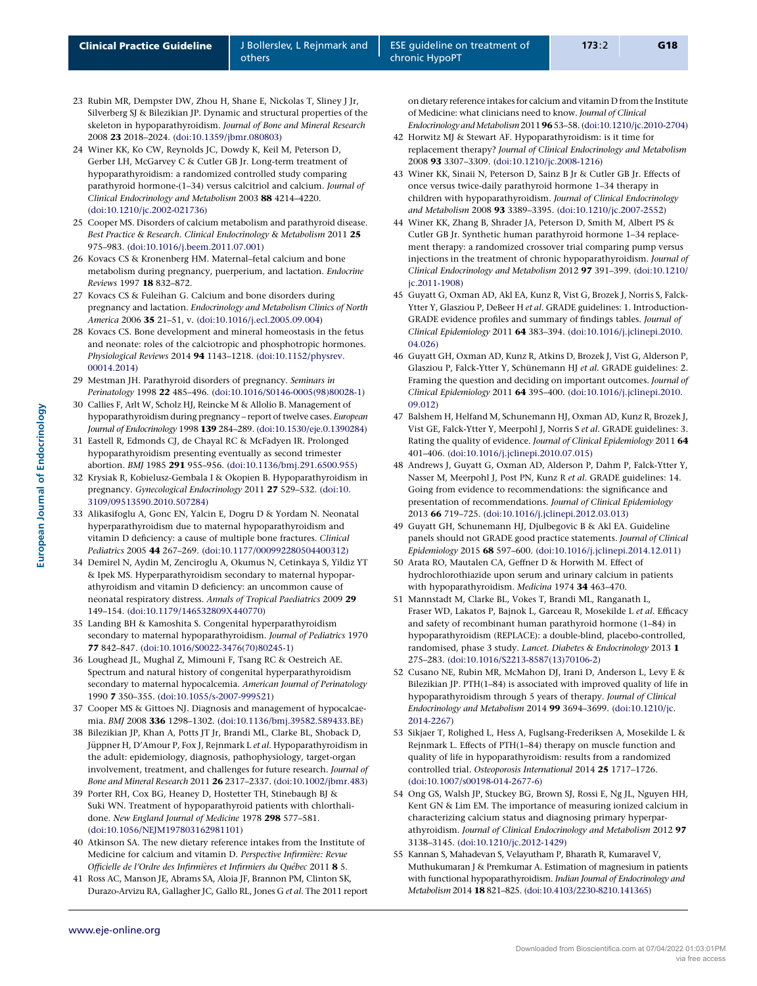- <span id="page-17-0"></span>23 Rubin MR, Dempster DW, Zhou H, Shane E, Nickolas T, Sliney J Jr, Silverberg SJ & Bilezikian JP. Dynamic and structural properties of the skeleton in hypoparathyroidism. Journal of Bone and Mineral Research 2008 23 2018–2024. ([doi:10.1359/jbmr.080803\)](http://dx.doi.org/10.1359/jbmr.080803)
- 24 Winer KK, Ko CW, Reynolds JC, Dowdy K, Keil M, Peterson D, Gerber LH, McGarvey C & Cutler GB Jr. Long-term treatment of hypoparathyroidism: a randomized controlled study comparing parathyroid hormone-(1–34) versus calcitriol and calcium. Journal of Clinical Endocrinology and Metabolism 2003 88 4214–4220. [\(doi:10.1210/jc.2002-021736\)](http://dx.doi.org/10.1210/jc.2002-021736)
- 25 Cooper MS. Disorders of calcium metabolism and parathyroid disease. Best Practice & Research. Clinical Endocrinology & Metabolism 2011 25 975–983. ([doi:10.1016/j.beem.2011.07.001](http://dx.doi.org/10.1016/j.beem.2011.07.001))
- 26 Kovacs CS & Kronenberg HM. Maternal–fetal calcium and bone metabolism during pregnancy, puerperium, and lactation. Endocrine Reviews 1997 18 832–872.
- 27 Kovacs CS & Fuleihan G. Calcium and bone disorders during pregnancy and lactation. Endocrinology and Metabolism Clinics of North America 2006 35 21–51, v. ([doi:10.1016/j.ecl.2005.09.004\)](http://dx.doi.org/10.1016/j.ecl.2005.09.004)
- 28 Kovacs CS. Bone development and mineral homeostasis in the fetus and neonate: roles of the calciotropic and phosphotropic hormones. Physiological Reviews 2014 94 1143–1218. ([doi:10.1152/physrev.](http://dx.doi.org/10.1152/physrev.00014.2014) [00014.2014\)](http://dx.doi.org/10.1152/physrev.00014.2014)
- 29 Mestman JH. Parathyroid disorders of pregnancy. Seminars in Perinatology 1998 22 485–496. [\(doi:10.1016/S0146-0005\(98\)80028-1\)](http://dx.doi.org/10.1016/S0146-0005(98)80028-1)
- 30 Callies F, Arlt W, Scholz HJ, Reincke M & Allolio B. Management of hypoparathyroidism during pregnancy – report of twelve cases. European Journal of Endocrinology 1998 139 284–289. [\(doi:10.1530/eje.0.1390284](http://dx.doi.org/10.1530/eje.0.1390284))
- 31 Eastell R, Edmonds CJ, de Chayal RC & McFadyen IR. Prolonged hypoparathyroidism presenting eventually as second trimester abortion. BMJ 1985 291 955-956. [\(doi:10.1136/bmj.291.6500.955\)](http://dx.doi.org/10.1136/bmj.291.6500.955)
- 32 Krysiak R, Kobielusz-Gembala I & Okopien B. Hypoparathyroidism in pregnancy. Gynecological Endocrinology 2011 27 529–532. ([doi:10.](http://dx.doi.org/10.3109/09513590.2010.507284) [3109/09513590.2010.507284\)](http://dx.doi.org/10.3109/09513590.2010.507284)
- 33 Alikasifoglu A, Gonc EN, Yalcin E, Dogru D & Yordam N. Neonatal hyperparathyroidism due to maternal hypoparathyroidism and vitamin D deficiency: a cause of multiple bone fractures. Clinical Pediatrics 2005 44 267–269. [\(doi:10.1177/000992280504400312](http://dx.doi.org/10.1177/000992280504400312))
- 34 Demirel N, Aydin M, Zenciroglu A, Okumus N, Cetinkaya S, Yildiz YT & Ipek MS. Hyperparathyroidism secondary to maternal hypoparathyroidism and vitamin D deficiency: an uncommon cause of neonatal respiratory distress. Annals of Tropical Paediatrics 2009 29 149–154. ([doi:10.1179/146532809X440770\)](http://dx.doi.org/10.1179/146532809X440770)
- 35 Landing BH & Kamoshita S. Congenital hyperparathyroidism secondary to maternal hypoparathyroidism. Journal of Pediatrics 1970 77 842–847. ([doi:10.1016/S0022-3476\(70\)80245-1](http://dx.doi.org/10.1016/S0022-3476(70)80245-1))
- 36 Loughead JL, Mughal Z, Mimouni F, Tsang RC & Oestreich AE. Spectrum and natural history of congenital hyperparathyroidism secondary to maternal hypocalcemia. American Journal of Perinatology 1990 7 350–355. [\(doi:10.1055/s-2007-999521](http://dx.doi.org/10.1055/s-2007-999521))
- 37 Cooper MS & Gittoes NJ. Diagnosis and management of hypocalcaemia. BMJ 2008 336 1298–1302. ([doi:10.1136/bmj.39582.589433.BE](http://dx.doi.org/10.1136/bmj.39582.589433.BE))
- 38 Bilezikian JP, Khan A, Potts JT Jr, Brandi ML, Clarke BL, Shoback D, Jüppner H, D'Amour P, Fox J, Rejnmark L et al. Hypoparathyroidism in the adult: epidemiology, diagnosis, pathophysiology, target-organ involvement, treatment, and challenges for future research. Journal of Bone and Mineral Research 2011 26 2317–2337. ([doi:10.1002/jbmr.483\)](http://dx.doi.org/10.1002/jbmr.483)
- 39 Porter RH, Cox BG, Heaney D, Hostetter TH, Stinebaugh BJ & Suki WN. Treatment of hypoparathyroid patients with chlorthalidone. New England Journal of Medicine 1978 298 577-581. [\(doi:10.1056/NEJM197803162981101](http://dx.doi.org/10.1056/NEJM197803162981101))
- 40 Atkinson SA. The new dietary reference intakes from the Institute of Medicine for calcium and vitamin D. Perspective Infirmière: Revue Officielle de l'Ordre des Infirmières et Infirmiers du Québec 2011 8 5.
- 41 Ross AC, Manson JE, Abrams SA, Aloia JF, Brannon PM, Clinton SK, Durazo-Arvizu RA, Gallagher JC, Gallo RL, Jones G et al. The 2011 report

on dietary reference intakes for calcium and vitamin D from the Institute of Medicine: what clinicians need to know. Journal of Clinical Endocrinology and Metabolism 2011 9653–58. ([doi:10.1210/jc.2010-2704\)](http://dx.doi.org/10.1210/jc.2010-2704)

- 42 Horwitz MJ & Stewart AF. Hypoparathyroidism: is it time for replacement therapy? Journal of Clinical Endocrinology and Metabolism 2008 93 3307–3309. ([doi:10.1210/jc.2008-1216](http://dx.doi.org/10.1210/jc.2008-1216))
- 43 Winer KK, Sinaii N, Peterson D, Sainz B Jr & Cutler GB Jr. Effects of once versus twice-daily parathyroid hormone 1–34 therapy in children with hypoparathyroidism. Journal of Clinical Endocrinology and Metabolism 2008 93 3389–3395. ([doi:10.1210/jc.2007-2552](http://dx.doi.org/10.1210/jc.2007-2552))
- 44 Winer KK, Zhang B, Shrader JA, Peterson D, Smith M, Albert PS & Cutler GB Jr. Synthetic human parathyroid hormone 1–34 replacement therapy: a randomized crossover trial comparing pump versus injections in the treatment of chronic hypoparathyroidism. Journal of Clinical Endocrinology and Metabolism 2012 97 391–399. ([doi:10.1210/](http://dx.doi.org/10.1210/jc.2011-1908) [jc.2011-1908\)](http://dx.doi.org/10.1210/jc.2011-1908)
- 45 Guyatt G, Oxman AD, Akl EA, Kunz R, Vist G, Brozek J, Norris S, Falck-Ytter Y, Glasziou P, DeBeer H et al. GRADE guidelines: 1. Introduction-GRADE evidence profiles and summary of findings tables. Journal of Clinical Epidemiology 2011 64 383–394. ([doi:10.1016/j.jclinepi.2010.](http://dx.doi.org/10.1016/j.jclinepi.2010.04.026) [04.026\)](http://dx.doi.org/10.1016/j.jclinepi.2010.04.026)
- 46 Guyatt GH, Oxman AD, Kunz R, Atkins D, Brozek J, Vist G, Alderson P, Glasziou P, Falck-Ytter Y, Schünemann HJ et al. GRADE guidelines: 2. Framing the question and deciding on important outcomes. Journal of Clinical Epidemiology 2011 64 395–400. ([doi:10.1016/j.jclinepi.2010.](http://dx.doi.org/10.1016/j.jclinepi.2010.09.012) [09.012\)](http://dx.doi.org/10.1016/j.jclinepi.2010.09.012)
- 47 Balshem H, Helfand M, Schunemann HJ, Oxman AD, Kunz R, Brozek J, Vist GE, Falck-Ytter Y, Meerpohl J, Norris S et al. GRADE guidelines: 3. Rating the quality of evidence. Journal of Clinical Epidemiology 2011 64 401–406. ([doi:10.1016/j.jclinepi.2010.07.015\)](http://dx.doi.org/10.1016/j.jclinepi.2010.07.015)
- 48 Andrews J, Guyatt G, Oxman AD, Alderson P, Dahm P, Falck-Ytter Y, Nasser M, Meerpohl J, Post PN, Kunz R et al. GRADE guidelines: 14. Going from evidence to recommendations: the significance and presentation of recommendations. Journal of Clinical Epidemiology 2013 66 719–725. ([doi:10.1016/j.jclinepi.2012.03.013\)](http://dx.doi.org/10.1016/j.jclinepi.2012.03.013)
- 49 Guyatt GH, Schunemann HJ, Djulbegovic B & Akl EA. Guideline panels should not GRADE good practice statements. Journal of Clinical Epidemiology 2015 68 597–600. ([doi:10.1016/j.jclinepi.2014.12.011\)](http://dx.doi.org/10.1016/j.jclinepi.2014.12.011)
- 50 Arata RO, Mautalen CA, Geffner D & Horwith M. Effect of hydrochlorothiazide upon serum and urinary calcium in patients with hypoparathyroidism. Medicina 1974 34 463-470.
- 51 Mannstadt M, Clarke BL, Vokes T, Brandi ML, Ranganath L, Fraser WD, Lakatos P, Bajnok L, Garceau R, Mosekilde L et al. Efficacy and safety of recombinant human parathyroid hormone (1–84) in hypoparathyroidism (REPLACE): a double-blind, placebo-controlled, randomised, phase 3 study. Lancet. Diabetes & Endocrinology 2013 1 275–283. ([doi:10.1016/S2213-8587\(13\)70106-2](http://dx.doi.org/10.1016/S2213-8587(13)70106-2))
- 52 Cusano NE, Rubin MR, McMahon DJ, Irani D, Anderson L, Levy E & Bilezikian JP. PTH(1–84) is associated with improved quality of life in hypoparathyroidism through 5 years of therapy. Journal of Clinical Endocrinology and Metabolism 2014 99 3694–3699. [\(doi:10.1210/jc.](http://dx.doi.org/10.1210/jc.2014-2267) [2014-2267](http://dx.doi.org/10.1210/jc.2014-2267))
- 53 Sikjaer T, Rolighed L, Hess A, Fuglsang-Frederiksen A, Mosekilde L & Rejnmark L. Effects of PTH(1–84) therapy on muscle function and quality of life in hypoparathyroidism: results from a randomized controlled trial. Osteoporosis International 2014 25 1717–1726. [\(doi:10.1007/s00198-014-2677-6](http://dx.doi.org/10.1007/s00198-014-2677-6))
- 54 Ong GS, Walsh JP, Stuckey BG, Brown SJ, Rossi E, Ng JL, Nguyen HH, Kent GN & Lim EM. The importance of measuring ionized calcium in characterizing calcium status and diagnosing primary hyperparathyroidism. Journal of Clinical Endocrinology and Metabolism 2012 97 3138–3145. ([doi:10.1210/jc.2012-1429](http://dx.doi.org/10.1210/jc.2012-1429))
- 55 Kannan S, Mahadevan S, Velayutham P, Bharath R, Kumaravel V, Muthukumaran J & Premkumar A. Estimation of magnesium in patients with functional hypoparathyroidism. Indian Journal of Endocrinology and Metabolism 2014 18 821–825. [\(doi:10.4103/2230-8210.141365](http://dx.doi.org/10.4103/2230-8210.141365))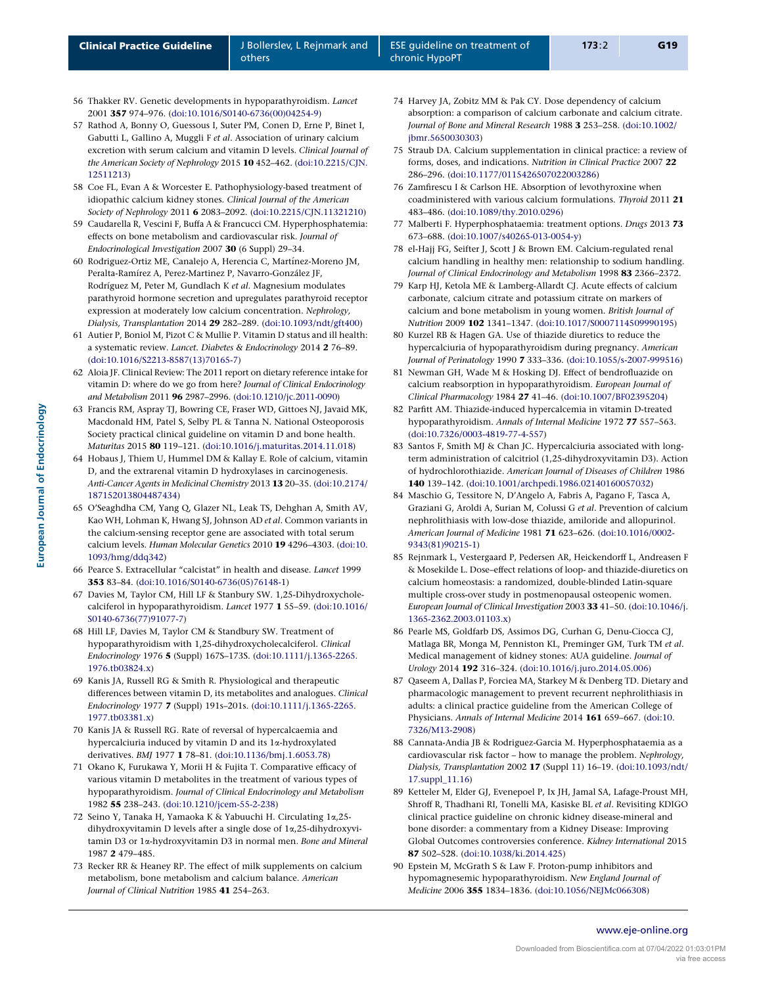- <span id="page-18-0"></span>56 Thakker RV. Genetic developments in hypoparathyroidism. Lancet 2001 357 974–976. [\(doi:10.1016/S0140-6736\(00\)04254-9\)](http://dx.doi.org/10.1016/S0140-6736(00)04254-9)
- 57 Rathod A, Bonny O, Guessous I, Suter PM, Conen D, Erne P, Binet I, Gabutti L, Gallino A, Muggli F et al. Association of urinary calcium excretion with serum calcium and vitamin D levels. Clinical Journal of the American Society of Nephrology 2015 10 452–462. ([doi:10.2215/CJN.](http://dx.doi.org/10.2215/CJN.12511213) [12511213\)](http://dx.doi.org/10.2215/CJN.12511213)
- 58 Coe FL, Evan A & Worcester E. Pathophysiology-based treatment of idiopathic calcium kidney stones. Clinical Journal of the American Society of Nephrology 2011 6 2083–2092. ([doi:10.2215/CJN.11321210](http://dx.doi.org/10.2215/CJN.11321210))
- 59 Caudarella R, Vescini F, Buffa A & Francucci CM. Hyperphosphatemia: effects on bone metabolism and cardiovascular risk. Journal of Endocrinological Investigation 2007 30 (6 Suppl) 29–34.
- 60 Rodriguez-Ortiz ME, Canalejo A, Herencia C, Martínez-Moreno JM, Peralta-Ramírez A, Perez-Martinez P, Navarro-González JF, Rodríguez M, Peter M, Gundlach K et al. Magnesium modulates parathyroid hormone secretion and upregulates parathyroid receptor expression at moderately low calcium concentration. Nephrology, Dialysis, Transplantation 2014 29 282–289. [\(doi:10.1093/ndt/gft400\)](http://dx.doi.org/10.1093/ndt/gft400)
- 61 Autier P, Boniol M, Pizot C & Mullie P. Vitamin D status and ill health: a systematic review. Lancet. Diabetes & Endocrinology 2014 2 76–89. [\(doi:10.1016/S2213-8587\(13\)70165-7\)](http://dx.doi.org/10.1016/S2213-8587(13)70165-7)
- 62 Aloia JF. Clinical Review: The 2011 report on dietary reference intake for vitamin D: where do we go from here? Journal of Clinical Endocrinology and Metabolism 2011 96 2987–2996. [\(doi:10.1210/jc.2011-0090](http://dx.doi.org/10.1210/jc.2011-0090))
- 63 Francis RM, Aspray TJ, Bowring CE, Fraser WD, Gittoes NJ, Javaid MK, Macdonald HM, Patel S, Selby PL & Tanna N. National Osteoporosis Society practical clinical guideline on vitamin D and bone health. Maturitas 2015 80 119–121. [\(doi:10.1016/j.maturitas.2014.11.018](http://dx.doi.org/10.1016/j.maturitas.2014.11.018))
- 64 Hobaus J, Thiem U, Hummel DM & Kallay E. Role of calcium, vitamin D, and the extrarenal vitamin D hydroxylases in carcinogenesis. Anti-Cancer Agents in Medicinal Chemistry 2013 13 20–35. ([doi:10.2174/](http://dx.doi.org/10.2174/187152013804487434) [187152013804487434\)](http://dx.doi.org/10.2174/187152013804487434)
- 65 O'Seaghdha CM, Yang Q, Glazer NL, Leak TS, Dehghan A, Smith AV, Kao WH, Lohman K, Hwang SJ, Johnson AD et al. Common variants in the calcium-sensing receptor gene are associated with total serum calcium levels. Human Molecular Genetics 2010 19 4296–4303. ([doi:10.](http://dx.doi.org/10.1093/hmg/ddq342) [1093/hmg/ddq342\)](http://dx.doi.org/10.1093/hmg/ddq342)
- 66 Pearce S. Extracellular "calcistat" in health and disease. Lancet 1999 353 83–84. [\(doi:10.1016/S0140-6736\(05\)76148-1\)](http://dx.doi.org/10.1016/S0140-6736(05)76148-1)
- 67 Davies M, Taylor CM, Hill LF & Stanbury SW. 1,25-Dihydroxycholecalciferol in hypoparathyroidism. Lancet 1977 1 55–59. ([doi:10.1016/](http://dx.doi.org/10.1016/S0140-6736(77)91077-7) [S0140-6736\(77\)91077-7\)](http://dx.doi.org/10.1016/S0140-6736(77)91077-7)
- 68 Hill LF, Davies M, Taylor CM & Standbury SW. Treatment of hypoparathyroidism with 1,25-dihydroxycholecalciferol. Clinical Endocrinology 1976 5 (Suppl) 167S–173S. [\(doi:10.1111/j.1365-2265.](http://dx.doi.org/10.1111/j.1365-2265.1976.tb03824.x) [1976.tb03824.x\)](http://dx.doi.org/10.1111/j.1365-2265.1976.tb03824.x)
- 69 Kanis JA, Russell RG & Smith R. Physiological and therapeutic differences between vitamin D, its metabolites and analogues. Clinical Endocrinology 1977 7 (Suppl) 191s–201s. ([doi:10.1111/j.1365-2265.](http://dx.doi.org/10.1111/j.1365-2265.1977.tb03381.x) [1977.tb03381.x\)](http://dx.doi.org/10.1111/j.1365-2265.1977.tb03381.x)
- 70 Kanis JA & Russell RG. Rate of reversal of hypercalcaemia and hypercalciuria induced by vitamin D and its 1a-hydroxylated derivatives. BMJ 1977 1 78–81. [\(doi:10.1136/bmj.1.6053.78\)](http://dx.doi.org/10.1136/bmj.1.6053.78)
- 71 Okano K, Furukawa Y, Morii H & Fujita T. Comparative efficacy of various vitamin D metabolites in the treatment of various types of hypoparathyroidism. Journal of Clinical Endocrinology and Metabolism 1982 55 238–243. ([doi:10.1210/jcem-55-2-238\)](http://dx.doi.org/10.1210/jcem-55-2-238)
- 72 Seino Y, Tanaka H, Yamaoka K & Yabuuchi H. Circulating 1a,25 dihydroxyvitamin D levels after a single dose of 1a,25-dihydroxyvitamin D3 or 1a-hydroxyvitamin D3 in normal men. Bone and Mineral 1987 2 479–485.
- 73 Recker RR & Heaney RP. The effect of milk supplements on calcium metabolism, bone metabolism and calcium balance. American Journal of Clinical Nutrition 1985 41 254–263.
- 74 Harvey JA, Zobitz MM & Pak CY. Dose dependency of calcium absorption: a comparison of calcium carbonate and calcium citrate. Journal of Bone and Mineral Research 1988 3 253–258. ([doi:10.1002/](http://dx.doi.org/10.1002/jbmr.5650030303) [jbmr.5650030303](http://dx.doi.org/10.1002/jbmr.5650030303))
- 75 Straub DA. Calcium supplementation in clinical practice: a review of forms, doses, and indications. Nutrition in Clinical Practice 2007 22 286–296. ([doi:10.1177/0115426507022003286](http://dx.doi.org/10.1177/0115426507022003286))
- 76 Zamfirescu I & Carlson HE. Absorption of levothyroxine when coadministered with various calcium formulations. Thyroid 2011 21 483–486. ([doi:10.1089/thy.2010.0296](http://dx.doi.org/10.1089/thy.2010.0296))
- 77 Malberti F. Hyperphosphataemia: treatment options. Drugs 2013 73 673–688. ([doi:10.1007/s40265-013-0054-y\)](http://dx.doi.org/10.1007/s40265-013-0054-y)
- 78 el-Hajj FG, Seifter J, Scott J & Brown EM. Calcium-regulated renal calcium handling in healthy men: relationship to sodium handling. Journal of Clinical Endocrinology and Metabolism 1998 83 2366–2372.
- 79 Karp HJ, Ketola ME & Lamberg-Allardt CJ. Acute effects of calcium carbonate, calcium citrate and potassium citrate on markers of calcium and bone metabolism in young women. British Journal of Nutrition 2009 102 1341–1347. [\(doi:10.1017/S0007114509990195\)](http://dx.doi.org/10.1017/S0007114509990195)
- 80 Kurzel RB & Hagen GA. Use of thiazide diuretics to reduce the hypercalciuria of hypoparathyroidism during pregnancy. American Journal of Perinatology 1990 7 333–336. ([doi:10.1055/s-2007-999516](http://dx.doi.org/10.1055/s-2007-999516))
- 81 Newman GH, Wade M & Hosking DJ. Effect of bendrofluazide on calcium reabsorption in hypoparathyroidism. European Journal of Clinical Pharmacology 1984 27 41–46. [\(doi:10.1007/BF02395204](http://dx.doi.org/10.1007/BF02395204))
- 82 Parfitt AM. Thiazide-induced hypercalcemia in vitamin D-treated hypoparathyroidism. Annals of Internal Medicine 1972 77 557–563. [\(doi:10.7326/0003-4819-77-4-557\)](http://dx.doi.org/10.7326/0003-4819-77-4-557)
- 83 Santos F, Smith MJ & Chan JC. Hypercalciuria associated with longterm administration of calcitriol (1,25-dihydroxyvitamin D3). Action of hydrochlorothiazide. American Journal of Diseases of Children 1986 140 139–142. [\(doi:10.1001/archpedi.1986.02140160057032\)](http://dx.doi.org/10.1001/archpedi.1986.02140160057032)
- 84 Maschio G, Tessitore N, D'Angelo A, Fabris A, Pagano F, Tasca A, Graziani G, Aroldi A, Surian M, Colussi G et al. Prevention of calcium nephrolithiasis with low-dose thiazide, amiloride and allopurinol. American Journal of Medicine 1981 71 623–626. ([doi:10.1016/0002-](http://dx.doi.org/10.1016/0002-9343(81)90215-1) [9343\(81\)90215-1\)](http://dx.doi.org/10.1016/0002-9343(81)90215-1)
- 85 Rejnmark L, Vestergaard P, Pedersen AR, Heickendorff L, Andreasen F & Mosekilde L. Dose–effect relations of loop- and thiazide-diuretics on calcium homeostasis: a randomized, double-blinded Latin-square multiple cross-over study in postmenopausal osteopenic women. European Journal of Clinical Investigation 2003 33 41–50. ([doi:10.1046/j.](http://dx.doi.org/10.1046/j.1365-2362.2003.01103.x) [1365-2362.2003.01103.x](http://dx.doi.org/10.1046/j.1365-2362.2003.01103.x))
- 86 Pearle MS, Goldfarb DS, Assimos DG, Curhan G, Denu-Ciocca CJ, Matlaga BR, Monga M, Penniston KL, Preminger GM, Turk TM et al. Medical management of kidney stones: AUA guideline. Journal of Urology 2014 192 316–324. [\(doi:10.1016/j.juro.2014.05.006](http://dx.doi.org/10.1016/j.juro.2014.05.006))
- 87 Qaseem A, Dallas P, Forciea MA, Starkey M & Denberg TD. Dietary and pharmacologic management to prevent recurrent nephrolithiasis in adults: a clinical practice guideline from the American College of Physicians. Annals of Internal Medicine 2014 161 659–667. ([doi:10.](http://dx.doi.org/10.7326/M13-2908) [7326/M13-2908](http://dx.doi.org/10.7326/M13-2908))
- 88 Cannata-Andia JB & Rodriguez-Garcia M. Hyperphosphataemia as a cardiovascular risk factor – how to manage the problem. Nephrology, Dialysis, Transplantation 2002 17 (Suppl 11) 16–19. ([doi:10.1093/ndt/](http://dx.doi.org/10.1093/ndt/17.suppl_11.16) [17.suppl\\_11.16](http://dx.doi.org/10.1093/ndt/17.suppl_11.16))
- 89 Ketteler M, Elder GJ, Evenepoel P, Ix JH, Jamal SA, Lafage-Proust MH, Shroff R, Thadhani RI, Tonelli MA, Kasiske BL et al. Revisiting KDIGO clinical practice guideline on chronic kidney disease-mineral and bone disorder: a commentary from a Kidney Disease: Improving Global Outcomes controversies conference. Kidney International 2015 87 502–528. ([doi:10.1038/ki.2014.425](http://dx.doi.org/10.1038/ki.2014.425))
- 90 Epstein M, McGrath S & Law F. Proton-pump inhibitors and hypomagnesemic hypoparathyroidism. New England Journal of Medicine 2006 355 1834–1836. [\(doi:10.1056/NEJMc066308\)](http://dx.doi.org/10.1056/NEJMc066308)

#### <www.eje-online.org>